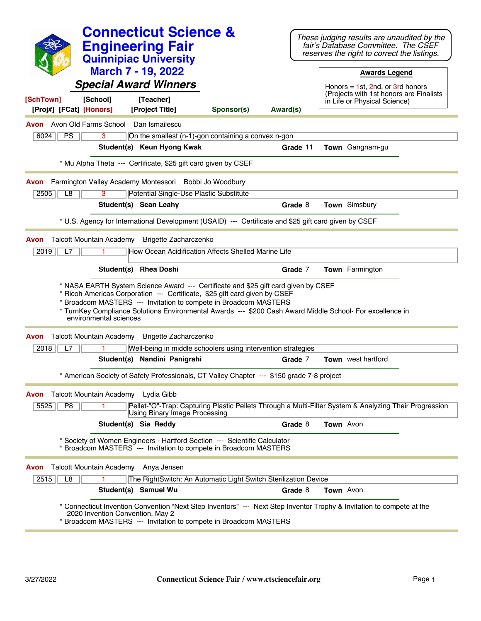|                                                                       |                                  | <b>Connecticut Science &amp;</b><br><b>Engineering Fair</b><br><b>Quinnipiac University</b><br><b>March 7 - 19, 2022</b><br><b>Special Award Winners</b>                                                                                                                                                                                                                                            |            |          |                  | These judging results are unaudited by the<br>fair's Database Committee. The CSEF<br>reserves the right to correct the listings.<br><b>Awards Legend</b><br>Honors = $1st$ , 2nd, or 3rd honors<br>(Projects with 1st honors are Finalists |  |
|-----------------------------------------------------------------------|----------------------------------|-----------------------------------------------------------------------------------------------------------------------------------------------------------------------------------------------------------------------------------------------------------------------------------------------------------------------------------------------------------------------------------------------------|------------|----------|------------------|--------------------------------------------------------------------------------------------------------------------------------------------------------------------------------------------------------------------------------------------|--|
| [SchTown]<br>[School]<br>[Proj#] [FCat] [Honors]                      |                                  | [Teacher]<br>[Project Title]                                                                                                                                                                                                                                                                                                                                                                        | Sponsor(s) | Award(s) |                  | in Life or Physical Science)                                                                                                                                                                                                               |  |
| Avon Old Farms School<br>Avon                                         |                                  | Dan Ismailescu                                                                                                                                                                                                                                                                                                                                                                                      |            |          |                  |                                                                                                                                                                                                                                            |  |
| PS<br>6024                                                            | 3                                | On the smallest (n-1)-gon containing a convex n-gon                                                                                                                                                                                                                                                                                                                                                 |            |          |                  |                                                                                                                                                                                                                                            |  |
|                                                                       |                                  | Student(s) Keun Hyong Kwak                                                                                                                                                                                                                                                                                                                                                                          |            | Grade 11 |                  | Town Gangnam-gu                                                                                                                                                                                                                            |  |
|                                                                       |                                  | * Mu Alpha Theta --- Certificate, \$25 gift card given by CSEF                                                                                                                                                                                                                                                                                                                                      |            |          |                  |                                                                                                                                                                                                                                            |  |
| Avon                                                                  |                                  | Farmington Valley Academy Montessori Bobbi Jo Woodbury                                                                                                                                                                                                                                                                                                                                              |            |          |                  |                                                                                                                                                                                                                                            |  |
| 2505<br>L8                                                            | 3                                | Potential Single-Use Plastic Substitute                                                                                                                                                                                                                                                                                                                                                             |            |          |                  |                                                                                                                                                                                                                                            |  |
|                                                                       |                                  | Student(s) Sean Leahy                                                                                                                                                                                                                                                                                                                                                                               |            | Grade 8  |                  | Town Simsbury                                                                                                                                                                                                                              |  |
|                                                                       |                                  | * U.S. Agency for International Development (USAID) --- Certificate and \$25 gift card given by CSEF                                                                                                                                                                                                                                                                                                |            |          |                  |                                                                                                                                                                                                                                            |  |
| <b>Talcott Mountain Academy</b><br>Avon<br>2019<br>L7                 |                                  | Brigette Zacharczenko<br>How Ocean Acidification Affects Shelled Marine Life                                                                                                                                                                                                                                                                                                                        |            |          |                  |                                                                                                                                                                                                                                            |  |
|                                                                       |                                  | Student(s) Rhea Doshi                                                                                                                                                                                                                                                                                                                                                                               |            | Grade 7  |                  | Town Farmington                                                                                                                                                                                                                            |  |
| Avon                                                                  | environmental sciences           | * NASA EARTH System Science Award --- Certificate and \$25 gift card given by CSEF<br>* Ricoh Americas Corporation --- Certificate, \$25 gift card given by CSEF<br>* Broadcom MASTERS --- Invitation to compete in Broadcom MASTERS<br>* TurnKey Compliance Solutions Environmental Awards --- \$200 Cash Award Middle School- For excellence in<br>Talcott Mountain Academy Brigette Zacharczenko |            |          |                  |                                                                                                                                                                                                                                            |  |
| 2018<br>L7                                                            |                                  | Well-being in middle schoolers using intervention strategies                                                                                                                                                                                                                                                                                                                                        |            |          |                  |                                                                                                                                                                                                                                            |  |
|                                                                       |                                  | Student(s) Nandini Panigrahi                                                                                                                                                                                                                                                                                                                                                                        |            | Grade 7  |                  | Town west hartford                                                                                                                                                                                                                         |  |
|                                                                       |                                  | * American Society of Safety Professionals, CT Valley Chapter --- \$150 grade 7-8 project                                                                                                                                                                                                                                                                                                           |            |          |                  |                                                                                                                                                                                                                                            |  |
|                                                                       |                                  |                                                                                                                                                                                                                                                                                                                                                                                                     |            |          |                  |                                                                                                                                                                                                                                            |  |
| Talcott Mountain Academy Lydia Gibb<br>Avon<br>5525<br>P <sub>8</sub> |                                  | Pellet-"O"-Trap: Capturing Plastic Pellets Through a Multi-Filter System & Analyzing Their Progression                                                                                                                                                                                                                                                                                              |            |          |                  |                                                                                                                                                                                                                                            |  |
|                                                                       |                                  | Using Binary Image Processing                                                                                                                                                                                                                                                                                                                                                                       |            |          |                  |                                                                                                                                                                                                                                            |  |
|                                                                       |                                  | Student(s) Sia Reddy                                                                                                                                                                                                                                                                                                                                                                                |            | Grade 8  | Town Avon        |                                                                                                                                                                                                                                            |  |
|                                                                       |                                  | * Society of Women Engineers - Hartford Section --- Scientific Calculator<br>Broadcom MASTERS --- Invitation to compete in Broadcom MASTERS                                                                                                                                                                                                                                                         |            |          |                  |                                                                                                                                                                                                                                            |  |
| Talcott Mountain Academy Anya Jensen<br>Avon                          |                                  |                                                                                                                                                                                                                                                                                                                                                                                                     |            |          |                  |                                                                                                                                                                                                                                            |  |
| $\overline{L8}$<br>2515                                               |                                  | The RightSwitch: An Automatic Light Switch Sterilization Device                                                                                                                                                                                                                                                                                                                                     |            |          |                  |                                                                                                                                                                                                                                            |  |
|                                                                       |                                  | Student(s) Samuel Wu                                                                                                                                                                                                                                                                                                                                                                                |            | Grade 8  | <b>Town</b> Avon |                                                                                                                                                                                                                                            |  |
|                                                                       | 2020 Invention Convention, May 2 | * Connecticut Invention Convention "Next Step Inventors" --- Next Step Inventor Trophy & Invitation to compete at the<br>* Broadcom MASTERS --- Invitation to compete in Broadcom MASTERS                                                                                                                                                                                                           |            |          |                  |                                                                                                                                                                                                                                            |  |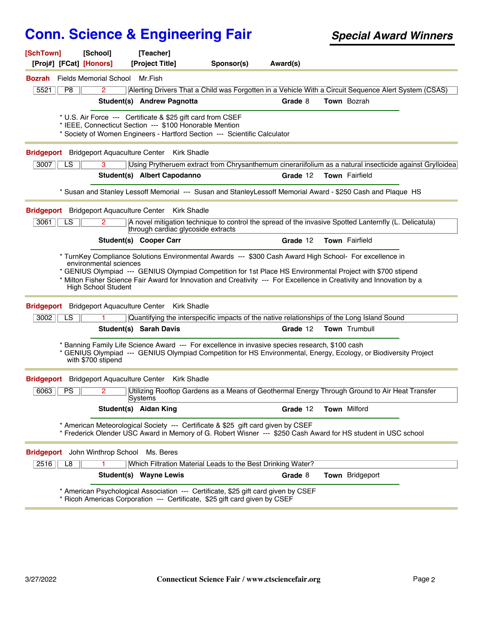| [School]<br>[SchTown]<br>[Proj#] [FCat] [Honors] | [Teacher]<br>[Project Title]                                                                                                                                     | Sponsor(s) | Award(s) |                                                                                                                       |
|--------------------------------------------------|------------------------------------------------------------------------------------------------------------------------------------------------------------------|------------|----------|-----------------------------------------------------------------------------------------------------------------------|
| <b>Fields Memorial School</b><br>Bozrah          | Mr.Fish                                                                                                                                                          |            |          |                                                                                                                       |
| 5521<br>P8<br>$\mathbf{2}$                       |                                                                                                                                                                  |            |          | Alerting Drivers That a Child was Forgotten in a Vehicle With a Circuit Sequence Alert System (CSAS)                  |
|                                                  | Student(s) Andrew Pagnotta                                                                                                                                       |            | Grade 8  | Town Bozrah                                                                                                           |
|                                                  | * U.S. Air Force --- Certificate & \$25 gift card from CSEF                                                                                                      |            |          |                                                                                                                       |
|                                                  | * IEEE, Connecticut Section --- \$100 Honorable Mention                                                                                                          |            |          |                                                                                                                       |
|                                                  | * Society of Women Engineers - Hartford Section --- Scientific Calculator                                                                                        |            |          |                                                                                                                       |
| <b>Bridgeport</b>                                | <b>Bridgeport Aquaculture Center</b><br><b>Kirk Shadle</b>                                                                                                       |            |          |                                                                                                                       |
| LS<br>3<br>3007                                  |                                                                                                                                                                  |            |          | Using Prytheruem extract from Chrysanthemum cinerariifolium as a natural insecticide against Grylloidea               |
|                                                  | Student(s) Albert Capodanno                                                                                                                                      |            | Grade 12 | Town Fairfield                                                                                                        |
|                                                  |                                                                                                                                                                  |            |          | * Susan and Stanley Lessoff Memorial --- Susan and Stanley Lessoff Memorial Award - \$250 Cash and Plaque HS          |
| <b>Bridgeport</b> Bridgeport Aquaculture Center  | <b>Kirk Shadle</b>                                                                                                                                               |            |          |                                                                                                                       |
| 3061<br>LS                                       | through cardiac glycoside extracts                                                                                                                               |            |          | A novel mitigation technique to control the spread of the invasive Spotted Lanternfly (L. Delicatula)                 |
|                                                  | <b>Student(s) Cooper Carr</b>                                                                                                                                    |            | Grade 12 | Town Fairfield                                                                                                        |
|                                                  | * TurnKey Compliance Solutions Environmental Awards --- \$300 Cash Award High School- For excellence in                                                          |            |          |                                                                                                                       |
| environmental sciences                           |                                                                                                                                                                  |            |          | * GENIUS Olympiad --- GENIUS Olympiad Competition for 1st Place HS Environmental Project with \$700 stipend           |
| <b>High School Student</b>                       |                                                                                                                                                                  |            |          | * Milton Fisher Science Fair Award for Innovation and Creativity --- For Excellence in Creativity and Innovation by a |
|                                                  | <b>Bridgeport</b> Bridgeport Aquaculture Center Kirk Shadle                                                                                                      |            |          |                                                                                                                       |
| 3002<br>LS                                       |                                                                                                                                                                  |            |          | Quantifying the interspecific impacts of the native relationships of the Long Island Sound                            |
|                                                  | Student(s) Sarah Davis                                                                                                                                           |            | Grade 12 | Town Trumbull                                                                                                         |
| with \$700 stipend                               | Banning Family Life Science Award --- For excellence in invasive species research, \$100 cash                                                                    |            |          | * GENIUS Olympiad --- GENIUS Olympiad Competition for HS Environmental, Energy, Ecology, or Biodiversity Project      |
| <b>Bridgeport</b> Bridgeport Aquaculture Center  | <b>Kirk Shadle</b>                                                                                                                                               |            |          |                                                                                                                       |
| 6063<br><b>PS</b><br>2                           | Systems                                                                                                                                                          |            |          | Utilizing Rooftop Gardens as a Means of Geothermal Energy Through Ground to Air Heat Transfer                         |
|                                                  | Student(s) Aidan King                                                                                                                                            |            | Grade 12 | <b>Town Milford</b>                                                                                                   |
|                                                  | * American Meteorological Society --- Certificate & \$25 gift card given by CSEF                                                                                 |            |          | * Frederick Olender USC Award in Memory of G. Robert Wisner --- \$250 Cash Award for HS student in USC school         |
| Bridgeport John Winthrop School Ms. Beres        |                                                                                                                                                                  |            |          |                                                                                                                       |
| 2516<br>L8                                       | Which Filtration Material Leads to the Best Drinking Water?                                                                                                      |            |          |                                                                                                                       |
|                                                  | Student(s) Wayne Lewis                                                                                                                                           |            | Grade 8  | Town Bridgeport                                                                                                       |
|                                                  | * American Psychological Association --- Certificate, \$25 gift card given by CSEF<br>* Ricoh Americas Corporation --- Certificate, \$25 gift card given by CSEF |            |          |                                                                                                                       |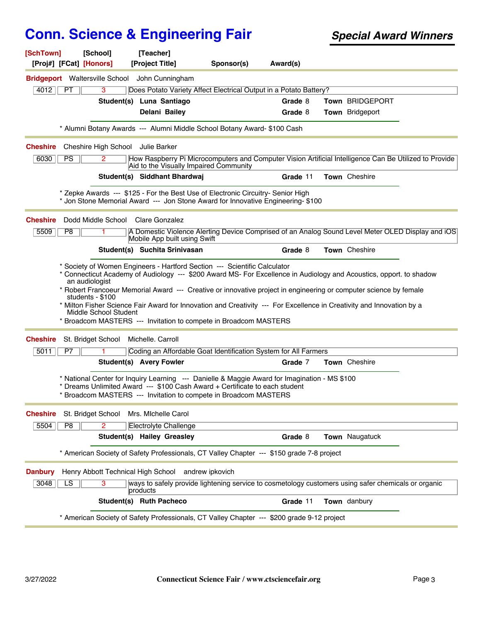| [SchTown]<br>[Proj#] [FCat] [Honors] | [School]                                                    | [Teacher]<br>[Project Title]                                                                                                                                                                                                                                                                                   | Sponsor(s) | Award(s) |                 |  |
|--------------------------------------|-------------------------------------------------------------|----------------------------------------------------------------------------------------------------------------------------------------------------------------------------------------------------------------------------------------------------------------------------------------------------------------|------------|----------|-----------------|--|
|                                      |                                                             | <b>Bridgeport</b> Waltersville School John Cunningham                                                                                                                                                                                                                                                          |            |          |                 |  |
| 4012<br>PT.                          | $\overline{3}$                                              | Does Potato Variety Affect Electrical Output in a Potato Battery?                                                                                                                                                                                                                                              |            |          |                 |  |
|                                      |                                                             | Student(s) Luna Santiago                                                                                                                                                                                                                                                                                       |            | Grade 8  | Town BRIDGEPORT |  |
|                                      |                                                             | Delani Bailey                                                                                                                                                                                                                                                                                                  |            | Grade 8  | Town Bridgeport |  |
|                                      |                                                             | * Alumni Botany Awards --- Alumni Middle School Botany Award- \$100 Cash                                                                                                                                                                                                                                       |            |          |                 |  |
| <b>Cheshire</b>                      | Cheshire High School Julie Barker                           |                                                                                                                                                                                                                                                                                                                |            |          |                 |  |
| 6030<br><b>PS</b>                    | 2                                                           | How Raspberry Pi Microcomputers and Computer Vision Artificial Intelligence Can Be Utilized to Provide<br>Aid to the Visually Impaired Community                                                                                                                                                               |            |          |                 |  |
|                                      |                                                             | Student(s) Siddhant Bhardwaj                                                                                                                                                                                                                                                                                   |            | Grade 11 | Town Cheshire   |  |
|                                      |                                                             | * Zepke Awards --- \$125 - For the Best Use of Electronic Circuitry- Senior High<br>* Jon Stone Memorial Award --- Jon Stone Award for Innovative Engineering- \$100                                                                                                                                           |            |          |                 |  |
| <b>Cheshire</b>                      |                                                             | Dodd Middle School Clare Gonzalez                                                                                                                                                                                                                                                                              |            |          |                 |  |
| 5509<br>P <sub>8</sub>               |                                                             | A Domestic Violence Alerting Device Comprised of an Analog Sound Level Meter OLED Display and iOS<br>Mobile App built using Swift                                                                                                                                                                              |            |          |                 |  |
|                                      |                                                             | Student(s) Suchita Srinivasan                                                                                                                                                                                                                                                                                  |            | Grade 8  | Town Cheshire   |  |
|                                      | an audiologist<br>students - \$100<br>Middle School Student | * Robert Francoeur Memorial Award --- Creative or innovative project in engineering or computer science by female<br>* Milton Fisher Science Fair Award for Innovation and Creativity --- For Excellence in Creativity and Innovation by a<br>* Broadcom MASTERS --- Invitation to compete in Broadcom MASTERS |            |          |                 |  |
| <b>Cheshire</b>                      | St. Bridget School                                          | Michelle. Carroll                                                                                                                                                                                                                                                                                              |            |          |                 |  |
| 5011<br>P7                           |                                                             | Coding an Affordable Goat Identification System for All Farmers                                                                                                                                                                                                                                                |            |          |                 |  |
|                                      |                                                             | <b>Student(s) Avery Fowler</b>                                                                                                                                                                                                                                                                                 |            | Grade 7  | Town Cheshire   |  |
|                                      |                                                             | * National Center for Inquiry Learning --- Danielle & Maggie Award for Imagination - MS \$100<br>Dreams Unlimited Award --- \$100 Cash Award + Certificate to each student<br>* Broadcom MASTERS --- Invitation to compete in Broadcom MASTERS                                                                 |            |          |                 |  |
| <b>Cheshire</b>                      | St. Bridget School                                          | Mrs. Michelle Carol                                                                                                                                                                                                                                                                                            |            |          |                 |  |
| 5504<br>P <sub>8</sub>               | 2                                                           | <b>Electrolyte Challenge</b>                                                                                                                                                                                                                                                                                   |            |          |                 |  |
|                                      |                                                             | Student(s) Hailey Greasley                                                                                                                                                                                                                                                                                     |            | Grade 8  | Town Naugatuck  |  |
|                                      |                                                             | * American Society of Safety Professionals, CT Valley Chapter --- \$150 grade 7-8 project                                                                                                                                                                                                                      |            |          |                 |  |
| <b>Danbury</b>                       |                                                             | Henry Abbott Technical High School andrew ipkovich                                                                                                                                                                                                                                                             |            |          |                 |  |
| 3048<br>LS                           |                                                             | ways to safely provide lightening service to cosmetology customers using safer chemicals or organic<br>products                                                                                                                                                                                                |            |          |                 |  |
|                                      |                                                             | Student(s) Ruth Pacheco                                                                                                                                                                                                                                                                                        |            | Grade 11 | Town danbury    |  |
|                                      |                                                             | * American Society of Safety Professionals, CT Valley Chapter --- \$200 grade 9-12 project                                                                                                                                                                                                                     |            |          |                 |  |
|                                      |                                                             |                                                                                                                                                                                                                                                                                                                |            |          |                 |  |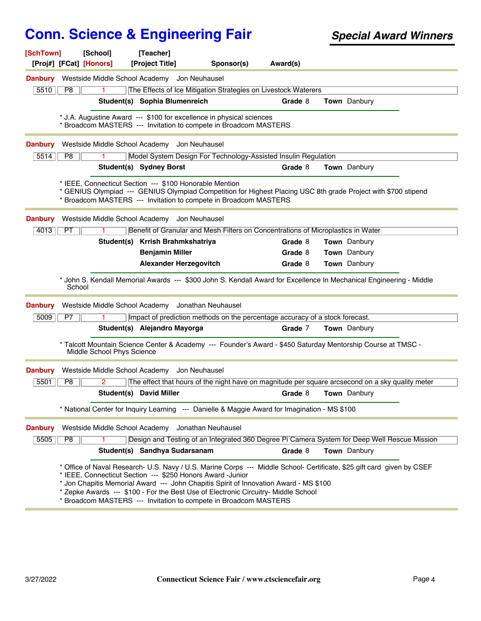| [SchTown]<br>[Proj#] [FCat] [Honors] | [School]                   | [Teacher]<br>[Project Title]                                                                                                                                                                                                                                                                                                                                                                                                          | Sponsor(s) | Award(s) |                     |  |
|--------------------------------------|----------------------------|---------------------------------------------------------------------------------------------------------------------------------------------------------------------------------------------------------------------------------------------------------------------------------------------------------------------------------------------------------------------------------------------------------------------------------------|------------|----------|---------------------|--|
| <b>Danbury</b>                       |                            | Westside Middle School Academy Jon Neuhausel                                                                                                                                                                                                                                                                                                                                                                                          |            |          |                     |  |
| 5510<br>P8                           |                            | The Effects of Ice Mitigation Strategies on Livestock Waterers                                                                                                                                                                                                                                                                                                                                                                        |            |          |                     |  |
|                                      |                            | Student(s) Sophia Blumenreich                                                                                                                                                                                                                                                                                                                                                                                                         |            | Grade 8  | Town Danbury        |  |
|                                      |                            | * J.A. Augustine Award --- \$100 for excellence in physical sciences<br>* Broadcom MASTERS --- Invitation to compete in Broadcom MASTERS                                                                                                                                                                                                                                                                                              |            |          |                     |  |
| <b>Danbury</b>                       |                            | Westside Middle School Academy Jon Neuhausel                                                                                                                                                                                                                                                                                                                                                                                          |            |          |                     |  |
| P8<br>5514                           |                            | Model System Design For Technology-Assisted Insulin Regulation                                                                                                                                                                                                                                                                                                                                                                        |            |          |                     |  |
|                                      |                            | Student(s) Sydney Borst                                                                                                                                                                                                                                                                                                                                                                                                               |            | Grade 8  | <b>Town</b> Danbury |  |
|                                      |                            | * IEEE, Connecticut Section --- \$100 Honorable Mention<br>* GENIUS Olympiad --- GENIUS Olympiad Competition for Highest Placing USC 8th grade Project with \$700 stipend<br>* Broadcom MASTERS --- Invitation to compete in Broadcom MASTERS                                                                                                                                                                                         |            |          |                     |  |
| <b>Danbury</b>                       |                            | Westside Middle School Academy Jon Neuhausel                                                                                                                                                                                                                                                                                                                                                                                          |            |          |                     |  |
| 4013<br>PT                           |                            | Benefit of Granular and Mesh Filters on Concentrations of Microplastics in Water                                                                                                                                                                                                                                                                                                                                                      |            | Grade 8  | Town Danbury        |  |
|                                      |                            | Student(s) Krrish Brahmkshatriya<br><b>Benjamin Miller</b>                                                                                                                                                                                                                                                                                                                                                                            |            | Grade 8  | Town Danbury        |  |
|                                      |                            | <b>Alexander Herzegovitch</b>                                                                                                                                                                                                                                                                                                                                                                                                         |            | Grade 8  | Town Danbury        |  |
| <b>Danbury</b>                       | School                     | * John S. Kendall Memorial Awards --- \$300 John S. Kendall Award for Excellence In Mechanical Engineering - Middle<br>Westside Middle School Academy Jonathan Neuhausel                                                                                                                                                                                                                                                              |            |          |                     |  |
| 5009<br>P7                           |                            | Impact of prediction methods on the percentage accuracy of a stock forecast.                                                                                                                                                                                                                                                                                                                                                          |            |          |                     |  |
|                                      |                            | Student(s) Alejandro Mayorga                                                                                                                                                                                                                                                                                                                                                                                                          |            | Grade 7  | Town Danbury        |  |
|                                      | Middle School Phys Science | * Talcott Mountain Science Center & Academy --- Founder's Award - \$450 Saturday Mentorship Course at TMSC -                                                                                                                                                                                                                                                                                                                          |            |          |                     |  |
| <b>Danbury</b>                       |                            | Westside Middle School Academy Jon Neuhausel                                                                                                                                                                                                                                                                                                                                                                                          |            |          |                     |  |
| P8<br>5501                           | 2                          | The effect that hours of the night have on magnitude per square arcsecond on a sky quality meter                                                                                                                                                                                                                                                                                                                                      |            |          |                     |  |
|                                      |                            | <b>Student(s) David Miller</b>                                                                                                                                                                                                                                                                                                                                                                                                        |            | Grade 8  | <b>Town</b> Danbury |  |
|                                      |                            | * National Center for Inquiry Learning --- Danielle & Maggie Award for Imagination - MS \$100                                                                                                                                                                                                                                                                                                                                         |            |          |                     |  |
| <b>Danbury</b>                       |                            | Westside Middle School Academy Jonathan Neuhausel                                                                                                                                                                                                                                                                                                                                                                                     |            |          |                     |  |
| 5505<br>P <sub>8</sub>               |                            | Design and Testing of an Integrated 360 Degree Pi Camera System for Deep Well Rescue Mission                                                                                                                                                                                                                                                                                                                                          |            |          |                     |  |
|                                      |                            | Student(s) Sandhya Sudarsanam                                                                                                                                                                                                                                                                                                                                                                                                         |            | Grade 8  | Town Danbury        |  |
|                                      |                            | * Office of Naval Research- U.S. Navy / U.S. Marine Corps --- Middle School- Certificate, \$25 gift card given by CSEF<br>* IEEE, Connecticut Section --- \$250 Honors Award -Junior<br>* Jon Chapitis Memorial Award --- John Chapitis Spirit of Innovation Award - MS \$100<br>* Zepke Awards --- \$100 - For the Best Use of Electronic Circuitry- Middle School<br>Broadcom MASTERS --- Invitation to compete in Broadcom MASTERS |            |          |                     |  |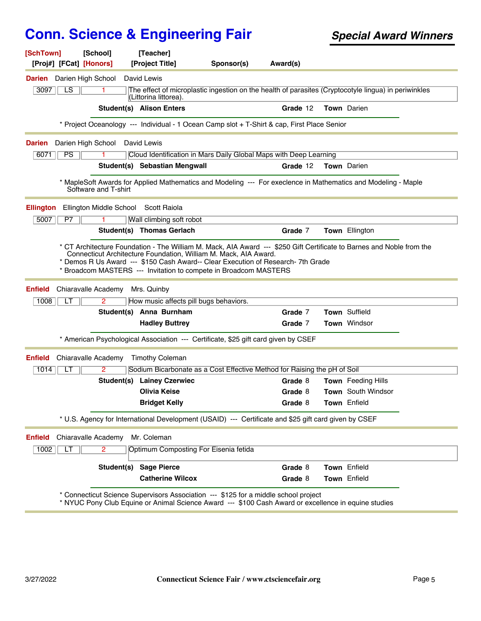| [SchTown]<br>[Proj#] [FCat] [Honors]                             | [School]                | [Teacher]<br>[Project Title]                                                                                                                                      | Sponsor(s) | Award(s)                                                                                                                                                                                                            |                               |  |
|------------------------------------------------------------------|-------------------------|-------------------------------------------------------------------------------------------------------------------------------------------------------------------|------------|---------------------------------------------------------------------------------------------------------------------------------------------------------------------------------------------------------------------|-------------------------------|--|
| Darien High School<br>Darien                                     |                         | David Lewis                                                                                                                                                       |            |                                                                                                                                                                                                                     |                               |  |
| LS<br>3097                                                       | 1                       |                                                                                                                                                                   |            | The effect of microplastic ingestion on the health of parasites (Cryptocotyle lingua) in periwinkles                                                                                                                |                               |  |
|                                                                  |                         | (Littorina littorea).                                                                                                                                             |            |                                                                                                                                                                                                                     |                               |  |
|                                                                  |                         | Student(s) Alison Enters                                                                                                                                          |            | Grade 12                                                                                                                                                                                                            | <b>Town</b> Darien            |  |
|                                                                  |                         |                                                                                                                                                                   |            | * Project Oceanology --- Individual - 1 Ocean Camp slot + T-Shirt & cap, First Place Senior                                                                                                                         |                               |  |
| Darien High School<br>Darien                                     |                         | David Lewis                                                                                                                                                       |            |                                                                                                                                                                                                                     |                               |  |
| PS<br>6071                                                       | 1.                      |                                                                                                                                                                   |            | Cloud Identification in Mars Daily Global Maps with Deep Learning                                                                                                                                                   |                               |  |
|                                                                  |                         | Student(s) Sebastian Mengwall                                                                                                                                     |            | Grade 12                                                                                                                                                                                                            | <b>Town</b> Darien            |  |
|                                                                  | Software and T-shirt    |                                                                                                                                                                   |            | * MapleSoft Awards for Applied Mathematics and Modeling --- For execlence in Mathematics and Modeling - Maple                                                                                                       |                               |  |
| <b>Ellington</b>                                                 | Ellington Middle School | Scott Raiola                                                                                                                                                      |            |                                                                                                                                                                                                                     |                               |  |
| 5007<br>P7                                                       |                         | Wall climbing soft robot                                                                                                                                          |            |                                                                                                                                                                                                                     |                               |  |
|                                                                  |                         |                                                                                                                                                                   |            |                                                                                                                                                                                                                     | Town Ellington                |  |
|                                                                  |                         | Student(s) Thomas Gerlach<br>Connecticut Architecture Foundation, William M. Mack, AIA Award.<br>* Broadcom MASTERS --- Invitation to compete in Broadcom MASTERS |            | Grade 7<br>* CT Architecture Foundation - The William M. Mack, AIA Award --- \$250 Gift Certificate to Barnes and Noble from the<br>* Demos R Us Award --- \$150 Cash Award-- Clear Execution of Research-7th Grade |                               |  |
| Chiaravalle Academy                                              |                         | Mrs. Quinby                                                                                                                                                       |            |                                                                                                                                                                                                                     |                               |  |
| 1008<br>LT                                                       | $\overline{2}$          | How music affects pill bugs behaviors.                                                                                                                            |            |                                                                                                                                                                                                                     |                               |  |
|                                                                  |                         | Student(s) Anna Burnham                                                                                                                                           |            | Grade 7<br>Grade 7                                                                                                                                                                                                  | Town Suffield<br>Town Windsor |  |
|                                                                  |                         | <b>Hadley Buttrey</b><br>* American Psychological Association --- Certificate, \$25 gift card given by CSEF                                                       |            |                                                                                                                                                                                                                     |                               |  |
| Chiaravalle Academy                                              |                         | <b>Timothy Coleman</b>                                                                                                                                            |            |                                                                                                                                                                                                                     |                               |  |
| 1014<br>LT                                                       | 2                       |                                                                                                                                                                   |            | Sodium Bicarbonate as a Cost Effective Method for Raising the pH of Soil                                                                                                                                            |                               |  |
|                                                                  |                         | <b>Student(s) Lainey Czerwiec</b>                                                                                                                                 |            | Grade 8                                                                                                                                                                                                             | Town Feeding Hills            |  |
|                                                                  |                         | <b>Olivia Keise</b>                                                                                                                                               |            | Grade 8                                                                                                                                                                                                             | <b>Town</b> South Windsor     |  |
|                                                                  |                         | <b>Bridget Kelly</b>                                                                                                                                              |            | Grade 8                                                                                                                                                                                                             | Town Enfield                  |  |
|                                                                  |                         |                                                                                                                                                                   |            | * U.S. Agency for International Development (USAID) --- Certificate and \$25 gift card given by CSEF                                                                                                                |                               |  |
| Chiaravalle Academy                                              |                         | Mr. Coleman                                                                                                                                                       |            |                                                                                                                                                                                                                     |                               |  |
| <b>Enfield</b><br><b>Enfield</b><br><b>Enfield</b><br>LT<br>1002 | $\overline{2}$          | Optimum Composting For Eisenia fetida                                                                                                                             |            |                                                                                                                                                                                                                     |                               |  |
|                                                                  | Student(s)              | <b>Sage Pierce</b>                                                                                                                                                |            | Grade 8                                                                                                                                                                                                             | Town Enfield                  |  |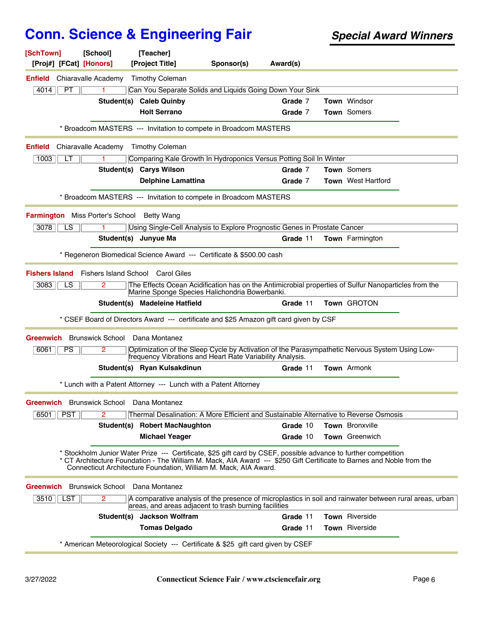| [SchTown]<br>[Proj#] [FCat] [Honors]       | [School]                | [Teacher]<br>[Project Title]                            | Sponsor(s)                                                                                                                                                                                                                                                                                                   | Award(s) |                           |  |
|--------------------------------------------|-------------------------|---------------------------------------------------------|--------------------------------------------------------------------------------------------------------------------------------------------------------------------------------------------------------------------------------------------------------------------------------------------------------------|----------|---------------------------|--|
| <b>Enfield</b>                             | Chiaravalle Academy     | <b>Timothy Coleman</b>                                  |                                                                                                                                                                                                                                                                                                              |          |                           |  |
| 4014<br>PT                                 |                         |                                                         | Can You Separate Solids and Liquids Going Down Your Sink                                                                                                                                                                                                                                                     |          |                           |  |
|                                            |                         | Student(s) Caleb Quinby                                 |                                                                                                                                                                                                                                                                                                              | Grade 7  | Town Windsor              |  |
|                                            |                         | <b>Holt Serrano</b>                                     |                                                                                                                                                                                                                                                                                                              | Grade 7  | Town Somers               |  |
|                                            |                         |                                                         | * Broadcom MASTERS --- Invitation to compete in Broadcom MASTERS                                                                                                                                                                                                                                             |          |                           |  |
| <b>Enfield</b>                             | Chiaravalle Academy     | <b>Timothy Coleman</b>                                  |                                                                                                                                                                                                                                                                                                              |          |                           |  |
| 1003<br>LТ                                 |                         |                                                         | Comparing Kale Growth In Hydroponics Versus Potting Soil In Winter                                                                                                                                                                                                                                           |          |                           |  |
|                                            |                         | Student(s) Carys Wilson                                 |                                                                                                                                                                                                                                                                                                              | Grade 7  | Town Somers               |  |
|                                            |                         | <b>Delphine Lamattina</b>                               |                                                                                                                                                                                                                                                                                                              | Grade 7  | <b>Town</b> West Hartford |  |
|                                            |                         |                                                         | * Broadcom MASTERS --- Invitation to compete in Broadcom MASTERS                                                                                                                                                                                                                                             |          |                           |  |
| Farmington Miss Porter's School Betty Wang |                         |                                                         |                                                                                                                                                                                                                                                                                                              |          |                           |  |
| 3078<br>LS                                 |                         |                                                         | Using Single-Cell Analysis to Explore Prognostic Genes in Prostate Cancer                                                                                                                                                                                                                                    |          |                           |  |
|                                            |                         | Student(s) Junyue Ma                                    |                                                                                                                                                                                                                                                                                                              | Grade 11 | <b>Town</b> Farmington    |  |
|                                            |                         |                                                         | * Regeneron Biomedical Science Award --- Certificate & \$500.00 cash                                                                                                                                                                                                                                         |          |                           |  |
|                                            |                         |                                                         |                                                                                                                                                                                                                                                                                                              |          |                           |  |
|                                            |                         | <b>Fishers Island</b> Fishers Island School Carol Giles |                                                                                                                                                                                                                                                                                                              |          |                           |  |
| 3083<br>LS                                 | 2                       |                                                         | The Effects Ocean Acidification has on the Antimicrobial properties of Sulfur Nanoparticles from the<br>Marine Sponge Species Halichondria Bowerbanki.                                                                                                                                                       |          |                           |  |
|                                            |                         | Student(s) Madeleine Hatfield                           |                                                                                                                                                                                                                                                                                                              | Grade 11 | Town GROTON               |  |
|                                            |                         |                                                         | * CSEF Board of Directors Award --- certificate and \$25 Amazon gift card given by CSF                                                                                                                                                                                                                       |          |                           |  |
| Greenwich                                  | Brunswick School        | Dana Montanez                                           |                                                                                                                                                                                                                                                                                                              |          |                           |  |
| 6061<br><b>PS</b>                          | 2                       |                                                         | Optimization of the Sleep Cycle by Activation of the Parasympathetic Nervous System Using Low-<br>frequency Vibrations and Heart Rate Variability Analysis.                                                                                                                                                  |          |                           |  |
|                                            |                         | Student(s) Ryan Kulsakdinun                             |                                                                                                                                                                                                                                                                                                              | Grade 11 | Town Armonk               |  |
|                                            |                         |                                                         | * Lunch with a Patent Attorney --- Lunch with a Patent Attorney                                                                                                                                                                                                                                              |          |                           |  |
| Greenwich Brunswick School Dana Montanez   |                         |                                                         |                                                                                                                                                                                                                                                                                                              |          |                           |  |
| 6501<br><b>PST</b>                         | $\overline{2}$          |                                                         | Thermal Desalination: A More Efficient and Sustainable Alternative to Reverse Osmosis                                                                                                                                                                                                                        |          |                           |  |
|                                            |                         | Student(s) Robert MacNaughton                           |                                                                                                                                                                                                                                                                                                              | Grade 10 | Town Bronxville           |  |
|                                            |                         | <b>Michael Yeager</b>                                   |                                                                                                                                                                                                                                                                                                              | Grade 10 | Town Greenwich            |  |
|                                            |                         |                                                         | * Stockholm Junior Water Prize --- Certificate, \$25 gift card by CSEF, possible advance to further competition<br>* CT Architecture Foundation - The William M. Mack, AIA Award --- \$250 Gift Certificate to Barnes and Noble from the<br>Connecticut Architecture Foundation, William M. Mack, AIA Award. |          |                           |  |
| <b>Greenwich</b>                           | <b>Brunswick School</b> | Dana Montanez                                           |                                                                                                                                                                                                                                                                                                              |          |                           |  |
| 3510<br>∣ LST                              | 2                       |                                                         | A comparative analysis of the presence of microplastics in soil and rainwater between rural areas, urban<br>areas, and areas adjacent to trash burning facilities                                                                                                                                            |          |                           |  |
|                                            |                         | Student(s) Jackson Wolfram                              |                                                                                                                                                                                                                                                                                                              | Grade 11 | <b>Town</b> Riverside     |  |
|                                            |                         | <b>Tomas Delgado</b>                                    |                                                                                                                                                                                                                                                                                                              | Grade 11 | Town Riverside            |  |
|                                            |                         |                                                         | * American Meteorological Society --- Certificate & \$25 gift card given by CSEF                                                                                                                                                                                                                             |          |                           |  |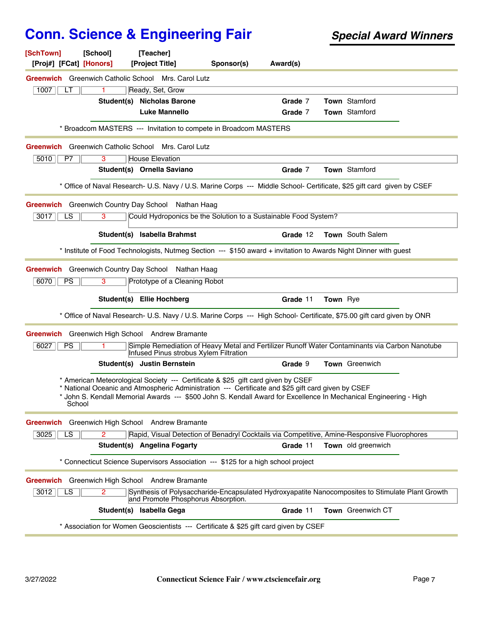| [SchTown]<br>[Proj#] [FCat] [Honors]                       | [School] | [Teacher]<br>[Project Title]                                          | Sponsor(s)                                                                                                                                                                                                                                                                                                  | Award(s) |          |                       |  |
|------------------------------------------------------------|----------|-----------------------------------------------------------------------|-------------------------------------------------------------------------------------------------------------------------------------------------------------------------------------------------------------------------------------------------------------------------------------------------------------|----------|----------|-----------------------|--|
| Greenwich Greenwich Catholic School Mrs. Carol Lutz        |          |                                                                       |                                                                                                                                                                                                                                                                                                             |          |          |                       |  |
| 1007<br>LТ                                                 | 1.       | Ready, Set, Grow                                                      |                                                                                                                                                                                                                                                                                                             |          |          |                       |  |
|                                                            |          | <b>Student(s) Nicholas Barone</b>                                     |                                                                                                                                                                                                                                                                                                             | Grade 7  |          | <b>Town</b> Stamford  |  |
|                                                            |          | <b>Luke Mannello</b>                                                  |                                                                                                                                                                                                                                                                                                             | Grade 7  |          | Town Stamford         |  |
|                                                            |          |                                                                       | * Broadcom MASTERS --- Invitation to compete in Broadcom MASTERS                                                                                                                                                                                                                                            |          |          |                       |  |
| <b>Greenwich</b> Greenwich Catholic School Mrs. Carol Lutz |          |                                                                       |                                                                                                                                                                                                                                                                                                             |          |          |                       |  |
| 5010<br>P7                                                 | 3        | <b>House Elevation</b>                                                |                                                                                                                                                                                                                                                                                                             |          |          |                       |  |
|                                                            |          | Student(s) Ornella Saviano                                            |                                                                                                                                                                                                                                                                                                             | Grade 7  |          | Town Stamford         |  |
|                                                            |          |                                                                       | * Office of Naval Research- U.S. Navy / U.S. Marine Corps --- Middle School- Certificate, \$25 gift card given by CSEF                                                                                                                                                                                      |          |          |                       |  |
| <b>Greenwich</b> Greenwich Country Day School              |          | Nathan Haag                                                           |                                                                                                                                                                                                                                                                                                             |          |          |                       |  |
| 3017<br>LS                                                 | 3        |                                                                       | Could Hydroponics be the Solution to a Sustainable Food System?                                                                                                                                                                                                                                             |          |          |                       |  |
|                                                            |          | Student(s) Isabella Brahmst                                           |                                                                                                                                                                                                                                                                                                             | Grade 12 |          | Town South Salem      |  |
|                                                            |          |                                                                       | * Institute of Food Technologists, Nutmeg Section --- \$150 award + invitation to Awards Night Dinner with guest                                                                                                                                                                                            |          |          |                       |  |
| Greenwich Greenwich Country Day School Nathan Haag         |          |                                                                       |                                                                                                                                                                                                                                                                                                             |          |          |                       |  |
| 6070<br><b>PS</b>                                          | з        | Prototype of a Cleaning Robot                                         |                                                                                                                                                                                                                                                                                                             |          |          |                       |  |
|                                                            |          |                                                                       |                                                                                                                                                                                                                                                                                                             |          |          |                       |  |
|                                                            |          | Student(s) Ellie Hochberg                                             |                                                                                                                                                                                                                                                                                                             | Grade 11 | Town Rye |                       |  |
|                                                            |          |                                                                       | * Office of Naval Research- U.S. Navy / U.S. Marine Corps --- High School- Certificate, \$75.00 gift card given by ONR                                                                                                                                                                                      |          |          |                       |  |
| Greenwich Greenwich High School Andrew Bramante            |          |                                                                       |                                                                                                                                                                                                                                                                                                             |          |          |                       |  |
| 6027<br><b>PS</b>                                          |          |                                                                       | Simple Remediation of Heavy Metal and Fertilizer Runoff Water Contaminants via Carbon Nanotube                                                                                                                                                                                                              |          |          |                       |  |
|                                                            |          | Infused Pinus strobus Xylem Filtration<br>Student(s) Justin Bernstein |                                                                                                                                                                                                                                                                                                             | Grade 9  |          | <b>Town</b> Greenwich |  |
| School                                                     |          |                                                                       | * American Meteorological Society --- Certificate & \$25 gift card given by CSEF<br>* National Oceanic and Atmospheric Administration --- Certificate and \$25 gift card given by CSEF<br>* John S. Kendall Memorial Awards --- \$500 John S. Kendall Award for Excellence In Mechanical Engineering - High |          |          |                       |  |
| <b>Greenwich</b>                                           |          | Greenwich High School Andrew Bramante                                 |                                                                                                                                                                                                                                                                                                             |          |          |                       |  |
| 3025<br>LS                                                 | 2        |                                                                       | Rapid, Visual Detection of Benadryl Cocktails via Competitive, Amine-Responsive Fluorophores                                                                                                                                                                                                                |          |          |                       |  |
|                                                            |          | Student(s) Angelina Fogarty                                           |                                                                                                                                                                                                                                                                                                             | Grade 11 |          | Town old greenwich    |  |
|                                                            |          |                                                                       | Connecticut Science Supervisors Association --- \$125 for a high school project                                                                                                                                                                                                                             |          |          |                       |  |
| <b>Greenwich</b>                                           |          | Greenwich High School Andrew Bramante                                 |                                                                                                                                                                                                                                                                                                             |          |          |                       |  |
| 3012<br>LS                                                 | 2        | and Promote Phosphorus Absorption.                                    | Synthesis of Polysaccharide-Encapsulated Hydroxyapatite Nanocomposites to Stimulate Plant Growth                                                                                                                                                                                                            |          |          |                       |  |
|                                                            |          | Student(s) Isabella Gega                                              |                                                                                                                                                                                                                                                                                                             | Grade 11 |          | Town Greenwich CT     |  |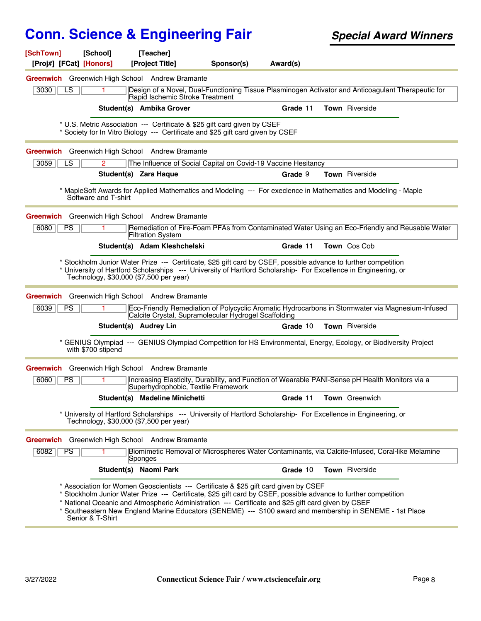| [SchTown]<br>[Proj#] [FCat] [Honors] | [School]                                | [Teacher]<br>[Project Title]                           | Sponsor(s)                                                                                                                                                                                                                                                                                                                                                                                                               | Award(s) |                       |  |
|--------------------------------------|-----------------------------------------|--------------------------------------------------------|--------------------------------------------------------------------------------------------------------------------------------------------------------------------------------------------------------------------------------------------------------------------------------------------------------------------------------------------------------------------------------------------------------------------------|----------|-----------------------|--|
|                                      |                                         | <b>Greenwich</b> Greenwich High School Andrew Bramante |                                                                                                                                                                                                                                                                                                                                                                                                                          |          |                       |  |
| 3030<br>LS                           |                                         | Rapid Ischemic Stroke Treatment                        | Design of a Novel, Dual-Functioning Tissue Plasminogen Activator and Anticoagulant Therapeutic for                                                                                                                                                                                                                                                                                                                       |          |                       |  |
|                                      |                                         | Student(s) Ambika Grover                               |                                                                                                                                                                                                                                                                                                                                                                                                                          | Grade 11 | Town Riverside        |  |
|                                      |                                         |                                                        | * U.S. Metric Association --- Certificate & \$25 gift card given by CSEF<br>* Society for In Vitro Biology --- Certificate and \$25 gift card given by CSEF                                                                                                                                                                                                                                                              |          |                       |  |
|                                      |                                         | Greenwich Greenwich High School Andrew Bramante        |                                                                                                                                                                                                                                                                                                                                                                                                                          |          |                       |  |
| 3059<br>LS                           | 2                                       |                                                        | The Influence of Social Capital on Covid-19 Vaccine Hesitancy                                                                                                                                                                                                                                                                                                                                                            |          |                       |  |
|                                      |                                         | Student(s) Zara Haque                                  |                                                                                                                                                                                                                                                                                                                                                                                                                          | Grade 9  | <b>Town</b> Riverside |  |
|                                      | Software and T-shirt                    |                                                        | * MapleSoft Awards for Applied Mathematics and Modeling --- For execlence in Mathematics and Modeling - Maple                                                                                                                                                                                                                                                                                                            |          |                       |  |
|                                      |                                         | Greenwich Greenwich High School Andrew Bramante        |                                                                                                                                                                                                                                                                                                                                                                                                                          |          |                       |  |
| 6080<br>PS                           |                                         | <b>Filtration System</b>                               | Remediation of Fire-Foam PFAs from Contaminated Water Using an Eco-Friendly and Reusable Water                                                                                                                                                                                                                                                                                                                           |          |                       |  |
|                                      |                                         | Student(s) Adam Kleshchelski                           |                                                                                                                                                                                                                                                                                                                                                                                                                          | Grade 11 | Town Cos Cob          |  |
|                                      | Technology, \$30,000 (\$7,500 per year) |                                                        | * Stockholm Junior Water Prize --- Certificate, \$25 gift card by CSEF, possible advance to further competition<br>* University of Hartford Scholarships --- University of Hartford Scholarship- For Excellence in Engineering, or                                                                                                                                                                                       |          |                       |  |
|                                      |                                         | Greenwich Greenwich High School Andrew Bramante        |                                                                                                                                                                                                                                                                                                                                                                                                                          |          |                       |  |
| 6039<br><b>PS</b>                    |                                         |                                                        | Eco-Friendly Remediation of Polycyclic Aromatic Hydrocarbons in Stormwater via Magnesium-Infused<br>Calcite Crystal, Supramolecular Hydrogel Scaffolding                                                                                                                                                                                                                                                                 |          |                       |  |
|                                      |                                         | Student(s) Audrey Lin                                  |                                                                                                                                                                                                                                                                                                                                                                                                                          | Grade 10 | <b>Town</b> Riverside |  |
|                                      | with \$700 stipend                      |                                                        | * GENIUS Olympiad --- GENIUS Olympiad Competition for HS Environmental, Energy, Ecology, or Biodiversity Project                                                                                                                                                                                                                                                                                                         |          |                       |  |
| Greenwich                            |                                         | Greenwich High School Andrew Bramante                  |                                                                                                                                                                                                                                                                                                                                                                                                                          |          |                       |  |
| 6060<br><b>PS</b>                    | 1.                                      | Superhydrophobic, Textile Framework                    | Increasing Elasticity, Durability, and Function of Wearable PANI-Sense pH Health Monitors via a                                                                                                                                                                                                                                                                                                                          |          |                       |  |
|                                      |                                         | Student(s) Madeline Minichetti                         |                                                                                                                                                                                                                                                                                                                                                                                                                          | Grade 11 | <b>Town</b> Greenwich |  |
|                                      | Technology, \$30,000 (\$7,500 per year) |                                                        | * University of Hartford Scholarships --- University of Hartford Scholarship- For Excellence in Engineering, or                                                                                                                                                                                                                                                                                                          |          |                       |  |
|                                      |                                         | Greenwich Greenwich High School Andrew Bramante        |                                                                                                                                                                                                                                                                                                                                                                                                                          |          |                       |  |
| 6082<br><b>PS</b>                    |                                         | Sponges                                                | Biomimetic Removal of Microspheres Water Contaminants, via Calcite-Infused, Coral-like Melamine                                                                                                                                                                                                                                                                                                                          |          |                       |  |
|                                      |                                         | Student(s) Naomi Park                                  |                                                                                                                                                                                                                                                                                                                                                                                                                          | Grade 10 | Town Riverside        |  |
|                                      | Senior & T-Shirt                        |                                                        | * Association for Women Geoscientists --- Certificate & \$25 gift card given by CSEF<br>Stockholm Junior Water Prize --- Certificate, \$25 gift card by CSEF, possible advance to further competition<br>* National Oceanic and Atmospheric Administration --- Certificate and \$25 gift card given by CSEF<br>* Southeastern New England Marine Educators (SENEME) --- \$100 award and membership in SENEME - 1st Place |          |                       |  |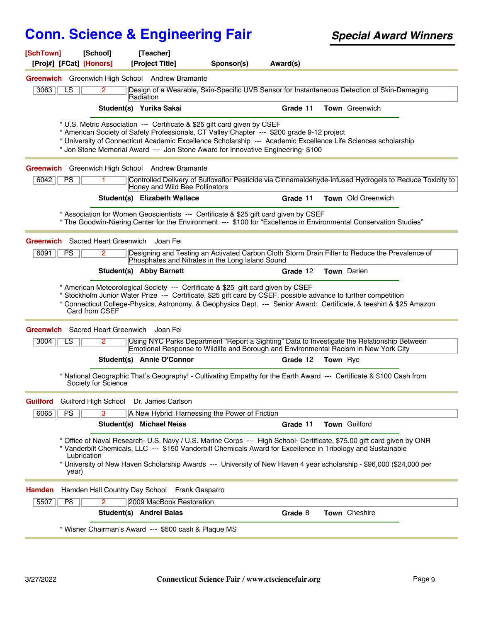| [SchTown]     | [School]<br>[Proj#] [FCat] [Honors]                       | [Teacher]<br>[Project Title]                                                                                                                                                                                                                               | Sponsor(s) | Award(s) |                                                                                                                                                                                                                                                                                                                                                              |
|---------------|-----------------------------------------------------------|------------------------------------------------------------------------------------------------------------------------------------------------------------------------------------------------------------------------------------------------------------|------------|----------|--------------------------------------------------------------------------------------------------------------------------------------------------------------------------------------------------------------------------------------------------------------------------------------------------------------------------------------------------------------|
|               |                                                           | Greenwich Greenwich High School Andrew Bramante                                                                                                                                                                                                            |            |          |                                                                                                                                                                                                                                                                                                                                                              |
| 3063          | LS<br>2                                                   | Radiation                                                                                                                                                                                                                                                  |            |          | Design of a Wearable, Skin-Specific UVB Sensor for Instantaneous Detection of Skin-Damaging                                                                                                                                                                                                                                                                  |
|               |                                                           | Student(s) Yurika Sakai                                                                                                                                                                                                                                    |            | Grade 11 | Town Greenwich                                                                                                                                                                                                                                                                                                                                               |
|               |                                                           | * U.S. Metric Association --- Certificate & \$25 gift card given by CSEF<br>* American Society of Safety Professionals, CT Valley Chapter --- \$200 grade 9-12 project<br>* Jon Stone Memorial Award --- Jon Stone Award for Innovative Engineering- \$100 |            |          | * University of Connecticut Academic Excellence Scholarship --- Academic Excellence Life Sciences scholarship                                                                                                                                                                                                                                                |
|               |                                                           | Greenwich Greenwich High School Andrew Bramante                                                                                                                                                                                                            |            |          |                                                                                                                                                                                                                                                                                                                                                              |
| 6042          | <b>PS</b><br>1.                                           | Honey and Wild Bee Pollinators                                                                                                                                                                                                                             |            |          | Controlled Delivery of Sulfoxaflor Pesticide via Cinnamaldehyde-infused Hydrogels to Reduce Toxicity to                                                                                                                                                                                                                                                      |
|               |                                                           | Student(s) Elizabeth Wallace                                                                                                                                                                                                                               |            | Grade 11 | Town Old Greenwich                                                                                                                                                                                                                                                                                                                                           |
|               |                                                           | * Association for Women Geoscientists --- Certificate & \$25 gift card given by CSEF                                                                                                                                                                       |            |          | * The Goodwin-Niering Center for the Environment --- \$100 for "Excellence in Environmental Conservation Studies"                                                                                                                                                                                                                                            |
|               | <b>Greenwich</b> Sacred Heart Greenwich                   | Joan Fei                                                                                                                                                                                                                                                   |            |          |                                                                                                                                                                                                                                                                                                                                                              |
| 6091          | <b>PS</b><br>2                                            | Phosphates and Nitrates in the Long Island Sound                                                                                                                                                                                                           |            |          | Designing and Testing an Activated Carbon Cloth Storm Drain Filter to Reduce the Prevalence of                                                                                                                                                                                                                                                               |
|               |                                                           | Student(s) Abby Barnett                                                                                                                                                                                                                                    |            | Grade 12 | <b>Town</b> Darien                                                                                                                                                                                                                                                                                                                                           |
|               | Card from CSEF<br><b>Greenwich</b> Sacred Heart Greenwich | * American Meteorological Society --- Certificate & \$25 gift card given by CSEF<br>Joan Fei                                                                                                                                                               |            |          | Stockholm Junior Water Prize --- Certificate, \$25 gift card by CSEF, possible advance to further competition<br>* Connecticut College-Physics, Astronomy, & Geophysics Dept. --- Senior Award: Certificate, & teeshirt & \$25 Amazon                                                                                                                        |
| 3004          | LS<br>$\mathbf{2}^{\circ}$                                |                                                                                                                                                                                                                                                            |            |          | Using NYC Parks Department "Report a Sighting" Data to Investigate the Relationship Between<br>Emotional Response to Wildlife and Borough and Environmental Racism in New York City                                                                                                                                                                          |
|               |                                                           | Student(s) Annie O'Connor                                                                                                                                                                                                                                  |            | Grade 12 | <b>Town</b> Rye                                                                                                                                                                                                                                                                                                                                              |
|               | Society for Science                                       |                                                                                                                                                                                                                                                            |            |          | * National Geographic That's Geography! - Cultivating Empathy for the Earth Award --- Certificate & \$100 Cash from                                                                                                                                                                                                                                          |
| Guilford      |                                                           | Guilford High School Dr. James Carlson                                                                                                                                                                                                                     |            |          |                                                                                                                                                                                                                                                                                                                                                              |
| 6065          | PS<br>3                                                   | A New Hybrid: Harnessing the Power of Friction                                                                                                                                                                                                             |            |          |                                                                                                                                                                                                                                                                                                                                                              |
|               |                                                           | Student(s) Michael Neiss                                                                                                                                                                                                                                   |            | Grade 11 | Town Guilford                                                                                                                                                                                                                                                                                                                                                |
|               | Lubrication<br>year)                                      |                                                                                                                                                                                                                                                            |            |          | Office of Naval Research- U.S. Navy / U.S. Marine Corps --- High School- Certificate, \$75.00 gift card given by ONR<br>* Vanderbilt Chemicals, LLC --- \$150 Vanderbilt Chemicals Award for Excellence in Tribology and Sustainable<br>* University of New Haven Scholarship Awards --- University of New Haven 4 year scholarship - \$96,000 (\$24,000 per |
| <b>Hamden</b> |                                                           | Hamden Hall Country Day School Frank Gasparro                                                                                                                                                                                                              |            |          |                                                                                                                                                                                                                                                                                                                                                              |
| 5507          | $\overline{2}$<br>P8                                      | 2009 MacBook Restoration                                                                                                                                                                                                                                   |            |          |                                                                                                                                                                                                                                                                                                                                                              |
|               |                                                           | Student(s) Andrei Balas                                                                                                                                                                                                                                    |            | Grade 8  | <b>Town</b> Cheshire                                                                                                                                                                                                                                                                                                                                         |
|               |                                                           | * Wisner Chairman's Award --- \$500 cash & Plaque MS                                                                                                                                                                                                       |            |          |                                                                                                                                                                                                                                                                                                                                                              |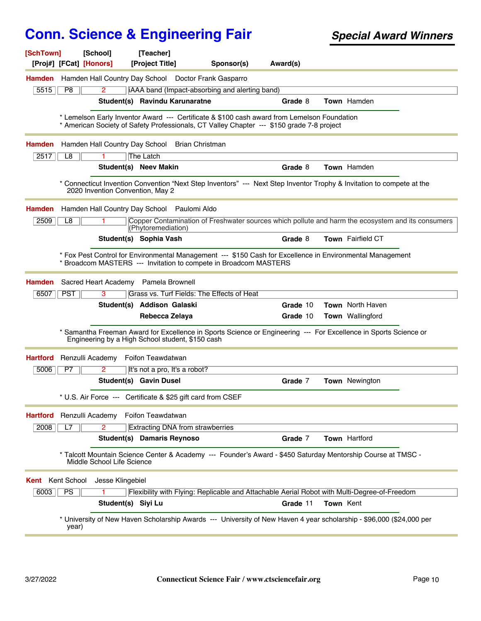| [SchTown]<br>[Proj#] [FCat] [Honors] | [School]                         | [Teacher]<br>[Project Title]                                | Sponsor(s)                                                                                                                                                                               | Award(s) |           |                                                                                                                       |
|--------------------------------------|----------------------------------|-------------------------------------------------------------|------------------------------------------------------------------------------------------------------------------------------------------------------------------------------------------|----------|-----------|-----------------------------------------------------------------------------------------------------------------------|
| Hamden                               |                                  |                                                             | Hamden Hall Country Day School Doctor Frank Gasparro                                                                                                                                     |          |           |                                                                                                                       |
| P8<br>5515                           | $\overline{2}$                   |                                                             | iAAA band (Impact-absorbing and alerting band)                                                                                                                                           |          |           |                                                                                                                       |
|                                      |                                  | Student(s) Ravindu Karunaratne                              |                                                                                                                                                                                          | Grade 8  |           | Town Hamden                                                                                                           |
|                                      |                                  |                                                             | * Lemelson Early Inventor Award --- Certificate & \$100 cash award from Lemelson Foundation<br>* American Society of Safety Professionals, CT Valley Chapter --- \$150 grade 7-8 project |          |           |                                                                                                                       |
| Hamden                               |                                  | Hamden Hall Country Day School Brian Christman              |                                                                                                                                                                                          |          |           |                                                                                                                       |
| 2517<br>L8                           |                                  | The Latch                                                   |                                                                                                                                                                                          |          |           |                                                                                                                       |
|                                      |                                  | Student(s) Neev Makin                                       |                                                                                                                                                                                          | Grade 8  |           | Town Hamden                                                                                                           |
|                                      | 2020 Invention Convention, May 2 |                                                             |                                                                                                                                                                                          |          |           | * Connecticut Invention Convention "Next Step Inventors" --- Next Step Inventor Trophy & Invitation to compete at the |
| <b>Hamden</b>                        |                                  | Hamden Hall Country Day School Paulomi Aldo                 |                                                                                                                                                                                          |          |           |                                                                                                                       |
| 2509<br>L8                           |                                  | (Phytoremediation)                                          |                                                                                                                                                                                          |          |           | Copper Contamination of Freshwater sources which pollute and harm the ecosystem and its consumers                     |
|                                      |                                  | Student(s) Sophia Vash                                      |                                                                                                                                                                                          | Grade 8  |           | Town Fairfield CT                                                                                                     |
| Hamden                               |                                  | Sacred Heart Academy Pamela Brownell                        | * Fox Pest Control for Environmental Management --- \$150 Cash for Excellence in Environmental Management<br>* Broadcom MASTERS --- Invitation to compete in Broadcom MASTERS            |          |           |                                                                                                                       |
| <b>PST</b><br>6507                   | 3                                |                                                             | Grass vs. Turf Fields: The Effects of Heat                                                                                                                                               |          |           |                                                                                                                       |
|                                      |                                  | Student(s) Addison Galaski                                  |                                                                                                                                                                                          | Grade 10 |           | <b>Town</b> North Haven                                                                                               |
|                                      |                                  | Rebecca Zelaya                                              |                                                                                                                                                                                          | Grade 10 |           | <b>Town</b> Wallingford                                                                                               |
|                                      |                                  | Engineering by a High School student, \$150 cash            |                                                                                                                                                                                          |          |           | * Samantha Freeman Award for Excellence in Sports Science or Engineering --- For Excellence in Sports Science or      |
| <b>Hartford</b>                      |                                  | Renzulli Academy Foifon Teawdatwan                          |                                                                                                                                                                                          |          |           |                                                                                                                       |
| 5006<br>P7                           | 2                                | It's not a pro, It's a robot?                               |                                                                                                                                                                                          |          |           |                                                                                                                       |
|                                      |                                  | <b>Student(s) Gavin Dusel</b>                               |                                                                                                                                                                                          | Grade 7  |           | <b>Town</b> Newington                                                                                                 |
|                                      |                                  | * U.S. Air Force --- Certificate & \$25 gift card from CSEF |                                                                                                                                                                                          |          |           |                                                                                                                       |
| <b>Hartford</b>                      |                                  | Renzulli Academy Foifon Teawdatwan                          |                                                                                                                                                                                          |          |           |                                                                                                                       |
| 2008<br>L7                           | $\overline{2}$                   | <b>Extracting DNA from strawberries</b>                     |                                                                                                                                                                                          |          |           |                                                                                                                       |
|                                      |                                  | <b>Student(s)</b> Damaris Reynoso                           |                                                                                                                                                                                          | Grade 7  |           | <b>Town</b> Hartford                                                                                                  |
|                                      | Middle School Life Science       |                                                             |                                                                                                                                                                                          |          |           | * Talcott Mountain Science Center & Academy --- Founder's Award - \$450 Saturday Mentorship Course at TMSC -          |
| Kent Kent School                     | Jesse Klingebiel                 |                                                             |                                                                                                                                                                                          |          |           |                                                                                                                       |
| PS<br>6003                           |                                  |                                                             |                                                                                                                                                                                          |          |           | Flexibility with Flying: Replicable and Attachable Aerial Robot with Multi-Degree-of-Freedom                          |
|                                      | Student(s) Siyi Lu               |                                                             |                                                                                                                                                                                          | Grade 11 | Town Kent |                                                                                                                       |
| year)                                |                                  |                                                             |                                                                                                                                                                                          |          |           | * University of New Haven Scholarship Awards --- University of New Haven 4 year scholarship - \$96,000 (\$24,000 per  |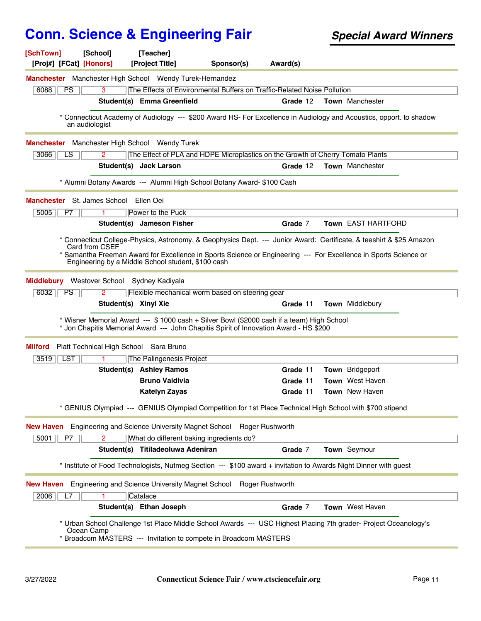| [SchTown]<br>[Proj#] [FCat] [Honors]       | [School]                               | [Teacher]<br>[Project Title]                                   | Sponsor(s)                                                                                                                                                                          | Award(s) |                                                                                                                                                                                                                                          |
|--------------------------------------------|----------------------------------------|----------------------------------------------------------------|-------------------------------------------------------------------------------------------------------------------------------------------------------------------------------------|----------|------------------------------------------------------------------------------------------------------------------------------------------------------------------------------------------------------------------------------------------|
|                                            |                                        | <b>Manchester</b> Manchester High School Wendy Turek-Hernandez |                                                                                                                                                                                     |          |                                                                                                                                                                                                                                          |
| 6088<br><b>PS</b>                          | 3                                      |                                                                | The Effects of Environmental Buffers on Traffic-Related Noise Pollution                                                                                                             |          |                                                                                                                                                                                                                                          |
|                                            |                                        | Student(s) Emma Greenfield                                     |                                                                                                                                                                                     | Grade 12 | <b>Town</b> Manchester                                                                                                                                                                                                                   |
|                                            | an audiologist                         |                                                                |                                                                                                                                                                                     |          | * Connecticut Academy of Audiology --- \$200 Award HS- For Excellence in Audiology and Acoustics, opport. to shadow                                                                                                                      |
| <b>Manchester</b>                          |                                        | Manchester High School Wendy Turek                             |                                                                                                                                                                                     |          |                                                                                                                                                                                                                                          |
| 3066<br>LS                                 | 2                                      |                                                                | The Effect of PLA and HDPE Microplastics on the Growth of Cherry Tomato Plants                                                                                                      |          |                                                                                                                                                                                                                                          |
|                                            |                                        | Student(s) Jack Larson                                         |                                                                                                                                                                                     | Grade 12 | <b>Town</b> Manchester                                                                                                                                                                                                                   |
|                                            |                                        |                                                                | * Alumni Botany Awards --- Alumni High School Botany Award- \$100 Cash                                                                                                              |          |                                                                                                                                                                                                                                          |
| Manchester St. James School Ellen Oei      |                                        |                                                                |                                                                                                                                                                                     |          |                                                                                                                                                                                                                                          |
| 5005<br>P7                                 |                                        | Power to the Puck                                              |                                                                                                                                                                                     |          |                                                                                                                                                                                                                                          |
|                                            |                                        | Student(s) Jameson Fisher                                      |                                                                                                                                                                                     | Grade 7  | Town EAST HARTFORD                                                                                                                                                                                                                       |
|                                            | Card from CSEF                         | Engineering by a Middle School student, \$100 cash             |                                                                                                                                                                                     |          | * Connecticut College-Physics, Astronomy, & Geophysics Dept. --- Junior Award: Certificate, & teeshirt & \$25 Amazon<br>* Samantha Freeman Award for Excellence in Sports Science or Engineering --- For Excellence in Sports Science or |
| Middlebury Westover School Sydney Kadiyala |                                        |                                                                |                                                                                                                                                                                     |          |                                                                                                                                                                                                                                          |
| 6032<br><b>PS</b>                          | 2                                      |                                                                | Flexible mechanical worm based on steering gear                                                                                                                                     |          |                                                                                                                                                                                                                                          |
|                                            | Student(s) Xinyi Xie                   |                                                                |                                                                                                                                                                                     | Grade 11 | <b>Town</b> Middlebury                                                                                                                                                                                                                   |
|                                            |                                        |                                                                | * Wisner Memorial Award --- \$ 1000 cash + Silver Bowl (\$2000 cash if a team) High School<br>* Jon Chapitis Memorial Award --- John Chapitis Spirit of Innovation Award - HS \$200 |          |                                                                                                                                                                                                                                          |
| <b>Milford</b>                             | Platt Technical High School Sara Bruno |                                                                |                                                                                                                                                                                     |          |                                                                                                                                                                                                                                          |
| ∣ LST<br>3519                              |                                        | The Palingenesis Project                                       |                                                                                                                                                                                     |          |                                                                                                                                                                                                                                          |
|                                            |                                        | <b>Student(s) Ashley Ramos</b>                                 |                                                                                                                                                                                     | Grade 11 | Town Bridgeport                                                                                                                                                                                                                          |
|                                            |                                        | <b>Bruno Valdivia</b>                                          |                                                                                                                                                                                     | Grade 11 | <b>Town</b> West Haven                                                                                                                                                                                                                   |
|                                            |                                        | <b>Katelyn Zayas</b>                                           |                                                                                                                                                                                     | Grade 11 | Town New Haven                                                                                                                                                                                                                           |
|                                            |                                        |                                                                | * GENIUS Olympiad --- GENIUS Olympiad Competition for 1st Place Technical High School with \$700 stipend                                                                            |          |                                                                                                                                                                                                                                          |
|                                            |                                        |                                                                | New Haven Engineering and Science University Magnet School Roger Rushworth                                                                                                          |          |                                                                                                                                                                                                                                          |
| 5001<br>P7                                 | 2                                      | What do different baking ingredients do?                       |                                                                                                                                                                                     |          |                                                                                                                                                                                                                                          |
|                                            |                                        | Student(s) Titiladeoluwa Adeniran                              |                                                                                                                                                                                     | Grade 7  | Town Seymour                                                                                                                                                                                                                             |
|                                            |                                        |                                                                |                                                                                                                                                                                     |          | * Institute of Food Technologists, Nutmeg Section --- \$100 award + invitation to Awards Night Dinner with guest                                                                                                                         |
| <b>New Haven</b>                           |                                        |                                                                | Engineering and Science University Magnet School Roger Rushworth                                                                                                                    |          |                                                                                                                                                                                                                                          |
| 2006<br>L7                                 |                                        | Catalace                                                       |                                                                                                                                                                                     |          |                                                                                                                                                                                                                                          |
|                                            |                                        | Student(s) Ethan Joseph                                        |                                                                                                                                                                                     | Grade 7  | Town West Haven                                                                                                                                                                                                                          |
|                                            | Ocean Camp                             |                                                                | * Broadcom MASTERS --- Invitation to compete in Broadcom MASTERS                                                                                                                    |          | * Urban School Challenge 1st Place Middle School Awards --- USC Highest Placing 7th grader- Project Oceanology's                                                                                                                         |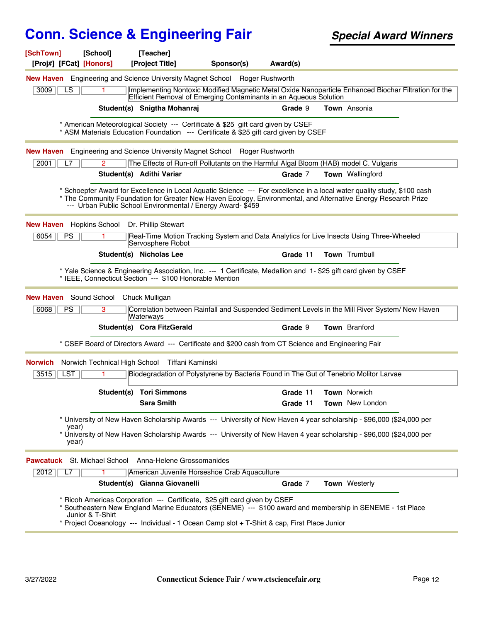| [SchTown]<br>[Proj#] [FCat] [Honors] | [School]                    | [Teacher]<br>[Project Title]                            | Sponsor(s)                                                                                                                                                              | Award(s) |                                                                                                                                                                                                                                           |  |
|--------------------------------------|-----------------------------|---------------------------------------------------------|-------------------------------------------------------------------------------------------------------------------------------------------------------------------------|----------|-------------------------------------------------------------------------------------------------------------------------------------------------------------------------------------------------------------------------------------------|--|
|                                      |                             |                                                         | <b>New Haven</b> Engineering and Science University Magnet School Roger Rushworth                                                                                       |          |                                                                                                                                                                                                                                           |  |
| 3009<br>LS.                          | 1                           |                                                         | Efficient Removal of Emerging Contaminants in an Aqueous Solution                                                                                                       |          | Implementing Nontoxic Modified Magnetic Metal Oxide Nanoparticle Enhanced Biochar Filtration for the                                                                                                                                      |  |
|                                      |                             | Student(s) Snigtha Mohanraj                             |                                                                                                                                                                         | Grade 9  | Town Ansonia                                                                                                                                                                                                                              |  |
|                                      |                             |                                                         | * American Meteorological Society --- Certificate & \$25 gift card given by CSEF<br>* ASM Materials Education Foundation --- Certificate & \$25 gift card given by CSEF |          |                                                                                                                                                                                                                                           |  |
|                                      |                             |                                                         | New Haven Engineering and Science University Magnet School Roger Rushworth                                                                                              |          |                                                                                                                                                                                                                                           |  |
| 2001<br>L7                           | $\mathbf{2}$                |                                                         |                                                                                                                                                                         |          | The Effects of Run-off Pollutants on the Harmful Algal Bloom (HAB) model C. Vulgaris                                                                                                                                                      |  |
|                                      |                             | Student(s) Adithi Variar                                |                                                                                                                                                                         | Grade 7  | <b>Town</b> Wallingford                                                                                                                                                                                                                   |  |
|                                      |                             |                                                         | --- Urban Public School Environmental / Energy Award- \$459                                                                                                             |          | * Schoepfer Award for Excellence in Local Aquatic Science --- For excellence in a local water quality study, \$100 cash<br>* The Community Foundation for Greater New Haven Ecology, Environmental, and Alternative Energy Research Prize |  |
| <b>New Haven</b> Hopkins School      |                             | Dr. Phillip Stewart                                     |                                                                                                                                                                         |          |                                                                                                                                                                                                                                           |  |
| 6054<br><b>PS</b>                    |                             | Servosphere Robot                                       |                                                                                                                                                                         |          | Real-Time Motion Tracking System and Data Analytics for Live Insects Using Three-Wheeled                                                                                                                                                  |  |
|                                      |                             | Student(s) Nicholas Lee                                 |                                                                                                                                                                         | Grade 11 | Town Trumbull                                                                                                                                                                                                                             |  |
|                                      |                             | * IEEE, Connecticut Section --- \$100 Honorable Mention |                                                                                                                                                                         |          | * Yale Science & Engineering Association, Inc. --- 1 Certificate, Medallion and 1-\$25 gift card given by CSEF                                                                                                                            |  |
| New Haven                            | Sound School Chuck Mulligan |                                                         |                                                                                                                                                                         |          |                                                                                                                                                                                                                                           |  |
| 6068<br><b>PS</b>                    | 3                           | Waterways                                               |                                                                                                                                                                         |          | Correlation between Rainfall and Suspended Sediment Levels in the Mill River System/ New Haven                                                                                                                                            |  |
|                                      |                             | Student(s) Cora FitzGerald                              |                                                                                                                                                                         | Grade 9  | <b>Town</b> Branford                                                                                                                                                                                                                      |  |
|                                      |                             |                                                         | * CSEF Board of Directors Award --- Certificate and \$200 cash from CT Science and Engineering Fair                                                                     |          |                                                                                                                                                                                                                                           |  |
| Norwich                              |                             | Norwich Technical High School Tiffani Kaminski          |                                                                                                                                                                         |          |                                                                                                                                                                                                                                           |  |
| 3515<br>LST                          |                             |                                                         |                                                                                                                                                                         |          | Biodegradation of Polystyrene by Bacteria Found in The Gut of Tenebrio Molitor Larvae                                                                                                                                                     |  |
|                                      |                             | <b>Student(s) Tori Simmons</b>                          |                                                                                                                                                                         | Grade 11 | <b>Town Norwich</b>                                                                                                                                                                                                                       |  |
|                                      |                             | <b>Sara Smith</b>                                       |                                                                                                                                                                         | Grade 11 | Town New London                                                                                                                                                                                                                           |  |
|                                      |                             |                                                         |                                                                                                                                                                         |          | * University of New Haven Scholarship Awards --- University of New Haven 4 year scholarship - \$96,000 (\$24,000 per                                                                                                                      |  |
| vear)<br>year)                       |                             |                                                         |                                                                                                                                                                         |          | * University of New Haven Scholarship Awards --- University of New Haven 4 year scholarship - \$96,000 (\$24,000 per                                                                                                                      |  |
| <b>Pawcatuck</b>                     |                             | St. Michael School Anna-Helene Grossomanides            |                                                                                                                                                                         |          |                                                                                                                                                                                                                                           |  |
| 2012<br>L7                           |                             |                                                         | American Juvenile Horseshoe Crab Aquaculture                                                                                                                            |          |                                                                                                                                                                                                                                           |  |
|                                      |                             | Student(s) Gianna Giovanelli                            |                                                                                                                                                                         | Grade 7  | Town Westerly                                                                                                                                                                                                                             |  |
|                                      | Junior & T-Shirt            |                                                         | Ricoh Americas Corporation --- Certificate, \$25 gift card given by CSEF<br>* Project Oceanology --- Individual - 1 Ocean Camp slot + T-Shirt & cap, First Place Junior |          | * Southeastern New England Marine Educators (SENEME) --- \$100 award and membership in SENEME - 1st Place                                                                                                                                 |  |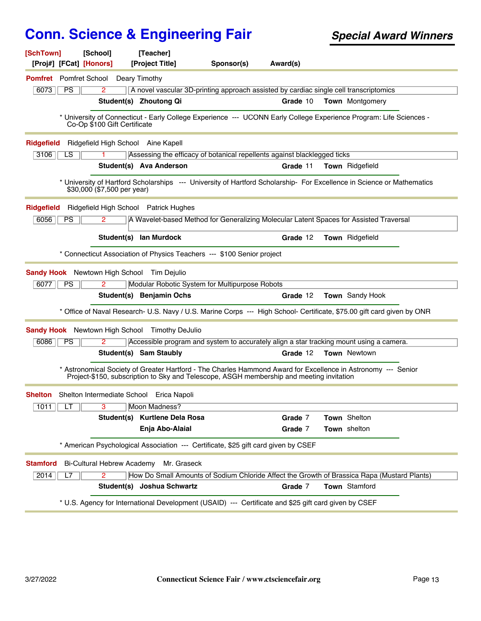| [SchTown]                             | [School]                          | [Teacher]                                                                                            |            |          |                                                                                                                        |  |
|---------------------------------------|-----------------------------------|------------------------------------------------------------------------------------------------------|------------|----------|------------------------------------------------------------------------------------------------------------------------|--|
| [Proj#] [FCat] [Honors]               |                                   | [Project Title]                                                                                      | Sponsor(s) | Award(s) |                                                                                                                        |  |
| <b>Pomfret</b> Pomfret School         |                                   | Deary Timothy                                                                                        |            |          |                                                                                                                        |  |
| 6073<br>PS                            | $\overline{2}$                    |                                                                                                      |            |          | A novel vascular 3D-printing approach assisted by cardiac single cell transcriptomics                                  |  |
|                                       |                                   | Student(s) Zhoutong Qi                                                                               |            | Grade 10 | <b>Town</b> Montgomery                                                                                                 |  |
|                                       | Co-Op \$100 Gift Certificate      |                                                                                                      |            |          | * University of Connecticut - Early College Experience --- UCONN Early College Experience Program: Life Sciences -     |  |
| <b>Ridgefield</b>                     |                                   | Ridgefield High School Aine Kapell                                                                   |            |          |                                                                                                                        |  |
| 3106<br>LS                            |                                   | Assessing the efficacy of botanical repellents against blacklegged ticks                             |            |          |                                                                                                                        |  |
|                                       |                                   | Student(s) Ava Anderson                                                                              |            | Grade 11 | <b>Town</b> Ridgefield                                                                                                 |  |
|                                       | \$30,000 (\$7,500 per year)       |                                                                                                      |            |          | * University of Hartford Scholarships --- University of Hartford Scholarship- For Excellence in Science or Mathematics |  |
| <b>Ridgefield</b>                     |                                   | Ridgefield High School Patrick Hughes                                                                |            |          |                                                                                                                        |  |
| PS<br>6056                            | $\overline{2}$                    |                                                                                                      |            |          | A Wavelet-based Method for Generalizing Molecular Latent Spaces for Assisted Traversal                                 |  |
|                                       |                                   | Student(s) lan Murdock                                                                               |            | Grade 12 | Town Ridgefield                                                                                                        |  |
|                                       |                                   | * Connecticut Association of Physics Teachers --- \$100 Senior project                               |            |          |                                                                                                                        |  |
|                                       |                                   | <b>Sandy Hook</b> Newtown High School Tim Dejulio                                                    |            |          |                                                                                                                        |  |
| 6077<br><b>PS</b>                     | 2                                 | Modular Robotic System for Multipurpose Robots                                                       |            |          |                                                                                                                        |  |
|                                       |                                   | Student(s) Benjamin Ochs                                                                             |            | Grade 12 | Town Sandy Hook                                                                                                        |  |
|                                       |                                   |                                                                                                      |            |          | * Office of Naval Research- U.S. Navy / U.S. Marine Corps --- High School- Certificate, \$75.00 gift card given by ONR |  |
| <b>Sandy Hook</b> Newtown High School |                                   | <b>Timothy DeJulio</b>                                                                               |            |          |                                                                                                                        |  |
| 6086<br>PS                            | 2                                 |                                                                                                      |            |          | Accessible program and system to accurately align a star tracking mount using a camera.                                |  |
|                                       |                                   | Student(s) Sam Staubly                                                                               |            | Grade 12 | <b>Town</b> Newtown                                                                                                    |  |
|                                       |                                   | Project-\$150, subscription to Sky and Telescope, ASGH membership and meeting invitation             |            |          | * Astronomical Society of Greater Hartford - The Charles Hammond Award for Excellence in Astronomy --- Senior          |  |
|                                       |                                   | Shelton Shelton Intermediate School Erica Napoli                                                     |            |          |                                                                                                                        |  |
| 1011<br>LТ                            | $\overline{\mathbf{3}}$           | Moon Madness?                                                                                        |            |          |                                                                                                                        |  |
|                                       | Student(s)                        | <b>Kurtlene Dela Rosa</b>                                                                            |            | Grade 7  | Town Shelton                                                                                                           |  |
|                                       |                                   | Enja Abo-Alaial                                                                                      |            | Grade 7  | Town shelton                                                                                                           |  |
|                                       |                                   | * American Psychological Association --- Certificate, \$25 gift card given by CSEF                   |            |          |                                                                                                                        |  |
| <b>Stamford</b>                       | <b>Bi-Cultural Hebrew Academy</b> | Mr. Graseck                                                                                          |            |          |                                                                                                                        |  |
| 2014<br>L7                            | $\overline{2}$                    |                                                                                                      |            |          | How Do Small Amounts of Sodium Chloride Affect the Growth of Brassica Rapa (Mustard Plants)                            |  |
|                                       |                                   | Student(s) Joshua Schwartz                                                                           |            | Grade 7  | Town Stamford                                                                                                          |  |
|                                       |                                   | * U.S. Agency for International Development (USAID) --- Certificate and \$25 gift card given by CSEF |            |          |                                                                                                                        |  |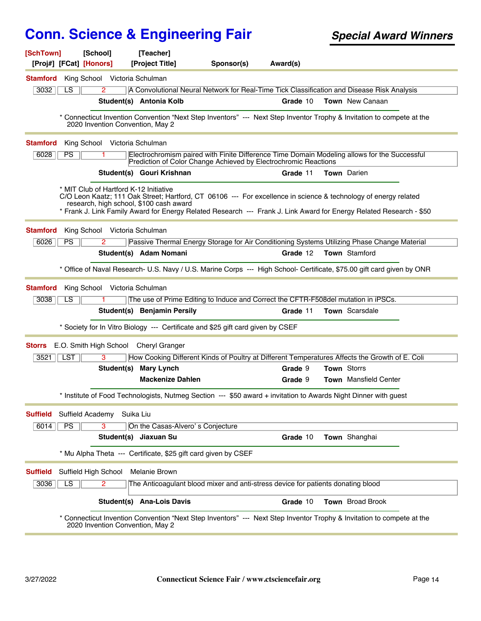| [SchTown]<br>[Proj#] [FCat] [Honors] | [School]                               | [Teacher]<br>[Project Title]            | Sponsor(s)                                                                                                      | Award(s) |                                                                                                                                                                                                                                        |
|--------------------------------------|----------------------------------------|-----------------------------------------|-----------------------------------------------------------------------------------------------------------------|----------|----------------------------------------------------------------------------------------------------------------------------------------------------------------------------------------------------------------------------------------|
| <b>Stamford</b>                      | King School Victoria Schulman          |                                         |                                                                                                                 |          |                                                                                                                                                                                                                                        |
| 3032<br>LS.                          | $\overline{2}$                         |                                         |                                                                                                                 |          | A Convolutional Neural Network for Real-Time Tick Classification and Disease Risk Analysis                                                                                                                                             |
|                                      |                                        | Student(s) Antonia Kolb                 |                                                                                                                 | Grade 10 | <b>Town</b> New Canaan                                                                                                                                                                                                                 |
|                                      | 2020 Invention Convention, May 2       |                                         |                                                                                                                 |          | * Connecticut Invention Convention "Next Step Inventors" --- Next Step Inventor Trophy & Invitation to compete at the                                                                                                                  |
| <b>Stamford</b>                      | King School Victoria Schulman          |                                         |                                                                                                                 |          |                                                                                                                                                                                                                                        |
| 6028<br>PS                           |                                        |                                         | Prediction of Color Change Achieved by Electrochromic Reactions                                                 |          | Electrochromism paired with Finite Difference Time Domain Modeling allows for the Successful                                                                                                                                           |
|                                      |                                        | Student(s) Gouri Krishnan               |                                                                                                                 | Grade 11 | <b>Town</b> Darien                                                                                                                                                                                                                     |
|                                      | * MIT Club of Hartford K-12 Initiative | research, high school, \$100 cash award |                                                                                                                 |          | C/O Leon Kaatz; 111 Oak Street; Hartford, CT 06106 --- For excellence in science & technology of energy related<br>* Frank J. Link Family Award for Energy Related Research --- Frank J. Link Award for Energy Related Research - \$50 |
| <b>Stamford</b>                      | King School Victoria Schulman          |                                         |                                                                                                                 |          |                                                                                                                                                                                                                                        |
| 6026<br>PS                           | 2                                      |                                         |                                                                                                                 |          | Passive Thermal Energy Storage for Air Conditioning Systems Utilizing Phase Change Material                                                                                                                                            |
|                                      |                                        | Student(s) Adam Nomani                  |                                                                                                                 | Grade 12 | <b>Town</b> Stamford                                                                                                                                                                                                                   |
|                                      |                                        |                                         |                                                                                                                 |          | * Office of Naval Research- U.S. Navy / U.S. Marine Corps --- High School- Certificate, \$75.00 gift card given by ONR                                                                                                                 |
| <b>Stamford</b>                      | King School Victoria Schulman          |                                         |                                                                                                                 |          |                                                                                                                                                                                                                                        |
| 3038<br>LS.                          |                                        |                                         | The use of Prime Editing to Induce and Correct the CFTR-F508del mutation in iPSCs.                              |          |                                                                                                                                                                                                                                        |
|                                      |                                        | Student(s) Benjamin Persily             |                                                                                                                 | Grade 11 | Town Scarsdale                                                                                                                                                                                                                         |
|                                      |                                        |                                         | * Society for In Vitro Biology --- Certificate and \$25 gift card given by CSEF                                 |          |                                                                                                                                                                                                                                        |
| <b>Storrs</b>                        | E.O. Smith High School Cheryl Granger  |                                         |                                                                                                                 |          |                                                                                                                                                                                                                                        |
| <b>LST</b><br>$3521$                 | 3                                      |                                         |                                                                                                                 |          | How Cooking Different Kinds of Poultry at Different Temperatures Affects the Growth of E. Coli                                                                                                                                         |
|                                      |                                        | Student(s) Mary Lynch                   |                                                                                                                 | Grade 9  | Town Storrs                                                                                                                                                                                                                            |
|                                      |                                        | <b>Mackenize Dahlen</b>                 |                                                                                                                 | Grade 9  | Town Mansfield Center                                                                                                                                                                                                                  |
|                                      |                                        |                                         | * Institute of Food Technologists, Nutmeg Section --- \$50 award + invitation to Awards Night Dinner with guest |          |                                                                                                                                                                                                                                        |
| <b>Suffield</b>                      | Suffield Academy                       | Suika Liu                               |                                                                                                                 |          |                                                                                                                                                                                                                                        |
| PS<br>6014                           | 3                                      | On the Casas-Alvero's Conjecture        |                                                                                                                 |          |                                                                                                                                                                                                                                        |
|                                      |                                        | Student(s) Jiaxuan Su                   |                                                                                                                 | Grade 10 | Town Shanghai                                                                                                                                                                                                                          |
|                                      |                                        |                                         | * Mu Alpha Theta --- Certificate, \$25 gift card given by CSEF                                                  |          |                                                                                                                                                                                                                                        |
| <b>Suffield</b>                      | Suffield High School                   | <b>Melanie Brown</b>                    |                                                                                                                 |          |                                                                                                                                                                                                                                        |
| 3036<br>LS                           | $\overline{2}$                         |                                         | The Anticoagulant blood mixer and anti-stress device for patients donating blood                                |          |                                                                                                                                                                                                                                        |
|                                      |                                        | Student(s) Ana-Lois Davis               |                                                                                                                 | Grade 10 | Town Broad Brook                                                                                                                                                                                                                       |
|                                      | 2020 Invention Convention, May 2       |                                         |                                                                                                                 |          | * Connecticut Invention Convention "Next Step Inventors" --- Next Step Inventor Trophy & Invitation to compete at the                                                                                                                  |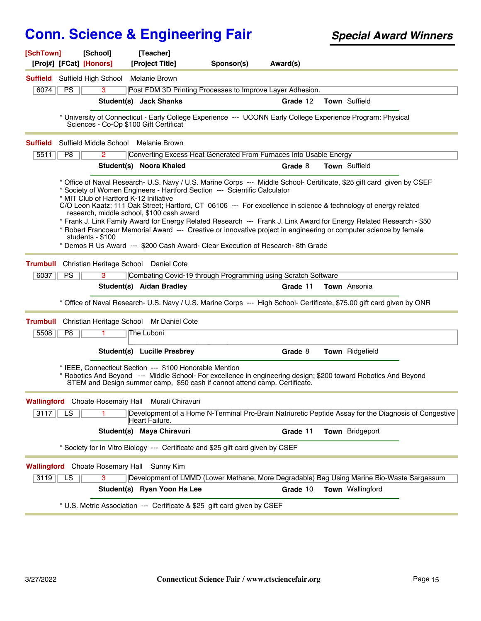| [Proj#] [FCat] [Honors]<br>[Project Title]<br>Sponsor(s)<br>Award(s)<br><b>Suffield</b> Suffield High School<br>Melanie Brown<br>6074<br>PS<br>3<br>Post FDM 3D Printing Processes to Improve Layer Adhesion.<br>Town Suffield<br>Student(s) Jack Shanks<br>Grade 12<br>* University of Connecticut - Early College Experience --- UCONN Early College Experience Program: Physical<br>Sciences - Co-Op \$100 Gift Certificat<br>Suffield Middle School Melanie Brown<br><b>Suffield</b><br>P8<br>Converting Excess Heat Generated From Furnaces Into Usable Energy<br>5511<br>$\mathbf{2}^{\circ}$<br>Student(s) Noora Khaled<br>Grade 8<br><b>Town Suffield</b><br>* Office of Naval Research- U.S. Navy / U.S. Marine Corps --- Middle School- Certificate, \$25 gift card given by CSEF<br>* Society of Women Engineers - Hartford Section --- Scientific Calculator<br>* MIT Club of Hartford K-12 Initiative<br>C/O Leon Kaatz; 111 Oak Street; Hartford, CT 06106 --- For excellence in science & technology of energy related<br>research, middle school, \$100 cash award<br>* Frank J. Link Family Award for Energy Related Research --- Frank J. Link Award for Energy Related Research - \$50<br>* Robert Francoeur Memorial Award --- Creative or innovative project in engineering or computer science by female<br>students - \$100<br>* Demos R Us Award --- \$200 Cash Award- Clear Execution of Research-8th Grade<br>Christian Heritage School Daniel Cote<br><b>Trumbull</b><br>6037<br>PS<br>3<br>Combating Covid-19 through Programming using Scratch Software<br>Student(s) Aidan Bradley<br>Town Ansonia<br>Grade 11<br>* Office of Naval Research- U.S. Navy / U.S. Marine Corps --- High School- Certificate, \$75.00 gift card given by ONR<br>Christian Heritage School Mr Daniel Cote<br><b>Trumbull</b><br>P8<br>5508<br>The Luboni<br>1.<br>Student(s) Lucille Presbrey<br>Town Ridgefield<br>Grade 8<br>* IEEE, Connecticut Section --- \$100 Honorable Mention<br>* Robotics And Beyond --- Middle School- For excellence in engineering design; \$200 toward Robotics And Beyond<br>STEM and Design summer camp, \$50 cash if cannot attend camp. Certificate.<br><b>Wallingford</b> Choate Rosemary Hall Murali Chiravuri<br>Development of a Home N-Terminal Pro-Brain Natriuretic Peptide Assay for the Diagnosis of Congestive<br>3117<br>LS<br>Heart Failure.<br>Student(s) Maya Chiravuri<br>Grade 11<br>Town Bridgeport<br>* Society for In Vitro Biology --- Certificate and \$25 gift card given by CSEF<br><b>Wallingford</b> Choate Rosemary Hall<br>Sunny Kim<br>Development of LMMD (Lower Methane, More Degradable) Bag Using Marine Bio-Waste Sargassum<br>3<br>3119<br>LS<br>Student(s) Ryan Yoon Ha Lee<br>Grade 10<br>Town Wallingford<br>* U.S. Metric Association --- Certificate & \$25 gift card given by CSEF | [SchTown] | [School] | [Teacher] |  |  |  |
|------------------------------------------------------------------------------------------------------------------------------------------------------------------------------------------------------------------------------------------------------------------------------------------------------------------------------------------------------------------------------------------------------------------------------------------------------------------------------------------------------------------------------------------------------------------------------------------------------------------------------------------------------------------------------------------------------------------------------------------------------------------------------------------------------------------------------------------------------------------------------------------------------------------------------------------------------------------------------------------------------------------------------------------------------------------------------------------------------------------------------------------------------------------------------------------------------------------------------------------------------------------------------------------------------------------------------------------------------------------------------------------------------------------------------------------------------------------------------------------------------------------------------------------------------------------------------------------------------------------------------------------------------------------------------------------------------------------------------------------------------------------------------------------------------------------------------------------------------------------------------------------------------------------------------------------------------------------------------------------------------------------------------------------------------------------------------------------------------------------------------------------------------------------------------------------------------------------------------------------------------------------------------------------------------------------------------------------------------------------------------------------------------------------------------------------------------------------------------------------------------------------------------------------------------------------------------------------------------------------------------------------------------------------------------------------------------------------------------------------------------------------------------------------------------------------------------------------------------------------------|-----------|----------|-----------|--|--|--|
|                                                                                                                                                                                                                                                                                                                                                                                                                                                                                                                                                                                                                                                                                                                                                                                                                                                                                                                                                                                                                                                                                                                                                                                                                                                                                                                                                                                                                                                                                                                                                                                                                                                                                                                                                                                                                                                                                                                                                                                                                                                                                                                                                                                                                                                                                                                                                                                                                                                                                                                                                                                                                                                                                                                                                                                                                                                                        |           |          |           |  |  |  |
|                                                                                                                                                                                                                                                                                                                                                                                                                                                                                                                                                                                                                                                                                                                                                                                                                                                                                                                                                                                                                                                                                                                                                                                                                                                                                                                                                                                                                                                                                                                                                                                                                                                                                                                                                                                                                                                                                                                                                                                                                                                                                                                                                                                                                                                                                                                                                                                                                                                                                                                                                                                                                                                                                                                                                                                                                                                                        |           |          |           |  |  |  |
|                                                                                                                                                                                                                                                                                                                                                                                                                                                                                                                                                                                                                                                                                                                                                                                                                                                                                                                                                                                                                                                                                                                                                                                                                                                                                                                                                                                                                                                                                                                                                                                                                                                                                                                                                                                                                                                                                                                                                                                                                                                                                                                                                                                                                                                                                                                                                                                                                                                                                                                                                                                                                                                                                                                                                                                                                                                                        |           |          |           |  |  |  |
|                                                                                                                                                                                                                                                                                                                                                                                                                                                                                                                                                                                                                                                                                                                                                                                                                                                                                                                                                                                                                                                                                                                                                                                                                                                                                                                                                                                                                                                                                                                                                                                                                                                                                                                                                                                                                                                                                                                                                                                                                                                                                                                                                                                                                                                                                                                                                                                                                                                                                                                                                                                                                                                                                                                                                                                                                                                                        |           |          |           |  |  |  |
|                                                                                                                                                                                                                                                                                                                                                                                                                                                                                                                                                                                                                                                                                                                                                                                                                                                                                                                                                                                                                                                                                                                                                                                                                                                                                                                                                                                                                                                                                                                                                                                                                                                                                                                                                                                                                                                                                                                                                                                                                                                                                                                                                                                                                                                                                                                                                                                                                                                                                                                                                                                                                                                                                                                                                                                                                                                                        |           |          |           |  |  |  |
|                                                                                                                                                                                                                                                                                                                                                                                                                                                                                                                                                                                                                                                                                                                                                                                                                                                                                                                                                                                                                                                                                                                                                                                                                                                                                                                                                                                                                                                                                                                                                                                                                                                                                                                                                                                                                                                                                                                                                                                                                                                                                                                                                                                                                                                                                                                                                                                                                                                                                                                                                                                                                                                                                                                                                                                                                                                                        |           |          |           |  |  |  |
|                                                                                                                                                                                                                                                                                                                                                                                                                                                                                                                                                                                                                                                                                                                                                                                                                                                                                                                                                                                                                                                                                                                                                                                                                                                                                                                                                                                                                                                                                                                                                                                                                                                                                                                                                                                                                                                                                                                                                                                                                                                                                                                                                                                                                                                                                                                                                                                                                                                                                                                                                                                                                                                                                                                                                                                                                                                                        |           |          |           |  |  |  |
|                                                                                                                                                                                                                                                                                                                                                                                                                                                                                                                                                                                                                                                                                                                                                                                                                                                                                                                                                                                                                                                                                                                                                                                                                                                                                                                                                                                                                                                                                                                                                                                                                                                                                                                                                                                                                                                                                                                                                                                                                                                                                                                                                                                                                                                                                                                                                                                                                                                                                                                                                                                                                                                                                                                                                                                                                                                                        |           |          |           |  |  |  |
|                                                                                                                                                                                                                                                                                                                                                                                                                                                                                                                                                                                                                                                                                                                                                                                                                                                                                                                                                                                                                                                                                                                                                                                                                                                                                                                                                                                                                                                                                                                                                                                                                                                                                                                                                                                                                                                                                                                                                                                                                                                                                                                                                                                                                                                                                                                                                                                                                                                                                                                                                                                                                                                                                                                                                                                                                                                                        |           |          |           |  |  |  |
|                                                                                                                                                                                                                                                                                                                                                                                                                                                                                                                                                                                                                                                                                                                                                                                                                                                                                                                                                                                                                                                                                                                                                                                                                                                                                                                                                                                                                                                                                                                                                                                                                                                                                                                                                                                                                                                                                                                                                                                                                                                                                                                                                                                                                                                                                                                                                                                                                                                                                                                                                                                                                                                                                                                                                                                                                                                                        |           |          |           |  |  |  |
|                                                                                                                                                                                                                                                                                                                                                                                                                                                                                                                                                                                                                                                                                                                                                                                                                                                                                                                                                                                                                                                                                                                                                                                                                                                                                                                                                                                                                                                                                                                                                                                                                                                                                                                                                                                                                                                                                                                                                                                                                                                                                                                                                                                                                                                                                                                                                                                                                                                                                                                                                                                                                                                                                                                                                                                                                                                                        |           |          |           |  |  |  |
|                                                                                                                                                                                                                                                                                                                                                                                                                                                                                                                                                                                                                                                                                                                                                                                                                                                                                                                                                                                                                                                                                                                                                                                                                                                                                                                                                                                                                                                                                                                                                                                                                                                                                                                                                                                                                                                                                                                                                                                                                                                                                                                                                                                                                                                                                                                                                                                                                                                                                                                                                                                                                                                                                                                                                                                                                                                                        |           |          |           |  |  |  |
|                                                                                                                                                                                                                                                                                                                                                                                                                                                                                                                                                                                                                                                                                                                                                                                                                                                                                                                                                                                                                                                                                                                                                                                                                                                                                                                                                                                                                                                                                                                                                                                                                                                                                                                                                                                                                                                                                                                                                                                                                                                                                                                                                                                                                                                                                                                                                                                                                                                                                                                                                                                                                                                                                                                                                                                                                                                                        |           |          |           |  |  |  |
|                                                                                                                                                                                                                                                                                                                                                                                                                                                                                                                                                                                                                                                                                                                                                                                                                                                                                                                                                                                                                                                                                                                                                                                                                                                                                                                                                                                                                                                                                                                                                                                                                                                                                                                                                                                                                                                                                                                                                                                                                                                                                                                                                                                                                                                                                                                                                                                                                                                                                                                                                                                                                                                                                                                                                                                                                                                                        |           |          |           |  |  |  |
|                                                                                                                                                                                                                                                                                                                                                                                                                                                                                                                                                                                                                                                                                                                                                                                                                                                                                                                                                                                                                                                                                                                                                                                                                                                                                                                                                                                                                                                                                                                                                                                                                                                                                                                                                                                                                                                                                                                                                                                                                                                                                                                                                                                                                                                                                                                                                                                                                                                                                                                                                                                                                                                                                                                                                                                                                                                                        |           |          |           |  |  |  |
|                                                                                                                                                                                                                                                                                                                                                                                                                                                                                                                                                                                                                                                                                                                                                                                                                                                                                                                                                                                                                                                                                                                                                                                                                                                                                                                                                                                                                                                                                                                                                                                                                                                                                                                                                                                                                                                                                                                                                                                                                                                                                                                                                                                                                                                                                                                                                                                                                                                                                                                                                                                                                                                                                                                                                                                                                                                                        |           |          |           |  |  |  |
|                                                                                                                                                                                                                                                                                                                                                                                                                                                                                                                                                                                                                                                                                                                                                                                                                                                                                                                                                                                                                                                                                                                                                                                                                                                                                                                                                                                                                                                                                                                                                                                                                                                                                                                                                                                                                                                                                                                                                                                                                                                                                                                                                                                                                                                                                                                                                                                                                                                                                                                                                                                                                                                                                                                                                                                                                                                                        |           |          |           |  |  |  |
|                                                                                                                                                                                                                                                                                                                                                                                                                                                                                                                                                                                                                                                                                                                                                                                                                                                                                                                                                                                                                                                                                                                                                                                                                                                                                                                                                                                                                                                                                                                                                                                                                                                                                                                                                                                                                                                                                                                                                                                                                                                                                                                                                                                                                                                                                                                                                                                                                                                                                                                                                                                                                                                                                                                                                                                                                                                                        |           |          |           |  |  |  |
|                                                                                                                                                                                                                                                                                                                                                                                                                                                                                                                                                                                                                                                                                                                                                                                                                                                                                                                                                                                                                                                                                                                                                                                                                                                                                                                                                                                                                                                                                                                                                                                                                                                                                                                                                                                                                                                                                                                                                                                                                                                                                                                                                                                                                                                                                                                                                                                                                                                                                                                                                                                                                                                                                                                                                                                                                                                                        |           |          |           |  |  |  |
|                                                                                                                                                                                                                                                                                                                                                                                                                                                                                                                                                                                                                                                                                                                                                                                                                                                                                                                                                                                                                                                                                                                                                                                                                                                                                                                                                                                                                                                                                                                                                                                                                                                                                                                                                                                                                                                                                                                                                                                                                                                                                                                                                                                                                                                                                                                                                                                                                                                                                                                                                                                                                                                                                                                                                                                                                                                                        |           |          |           |  |  |  |
|                                                                                                                                                                                                                                                                                                                                                                                                                                                                                                                                                                                                                                                                                                                                                                                                                                                                                                                                                                                                                                                                                                                                                                                                                                                                                                                                                                                                                                                                                                                                                                                                                                                                                                                                                                                                                                                                                                                                                                                                                                                                                                                                                                                                                                                                                                                                                                                                                                                                                                                                                                                                                                                                                                                                                                                                                                                                        |           |          |           |  |  |  |
|                                                                                                                                                                                                                                                                                                                                                                                                                                                                                                                                                                                                                                                                                                                                                                                                                                                                                                                                                                                                                                                                                                                                                                                                                                                                                                                                                                                                                                                                                                                                                                                                                                                                                                                                                                                                                                                                                                                                                                                                                                                                                                                                                                                                                                                                                                                                                                                                                                                                                                                                                                                                                                                                                                                                                                                                                                                                        |           |          |           |  |  |  |
|                                                                                                                                                                                                                                                                                                                                                                                                                                                                                                                                                                                                                                                                                                                                                                                                                                                                                                                                                                                                                                                                                                                                                                                                                                                                                                                                                                                                                                                                                                                                                                                                                                                                                                                                                                                                                                                                                                                                                                                                                                                                                                                                                                                                                                                                                                                                                                                                                                                                                                                                                                                                                                                                                                                                                                                                                                                                        |           |          |           |  |  |  |
|                                                                                                                                                                                                                                                                                                                                                                                                                                                                                                                                                                                                                                                                                                                                                                                                                                                                                                                                                                                                                                                                                                                                                                                                                                                                                                                                                                                                                                                                                                                                                                                                                                                                                                                                                                                                                                                                                                                                                                                                                                                                                                                                                                                                                                                                                                                                                                                                                                                                                                                                                                                                                                                                                                                                                                                                                                                                        |           |          |           |  |  |  |
|                                                                                                                                                                                                                                                                                                                                                                                                                                                                                                                                                                                                                                                                                                                                                                                                                                                                                                                                                                                                                                                                                                                                                                                                                                                                                                                                                                                                                                                                                                                                                                                                                                                                                                                                                                                                                                                                                                                                                                                                                                                                                                                                                                                                                                                                                                                                                                                                                                                                                                                                                                                                                                                                                                                                                                                                                                                                        |           |          |           |  |  |  |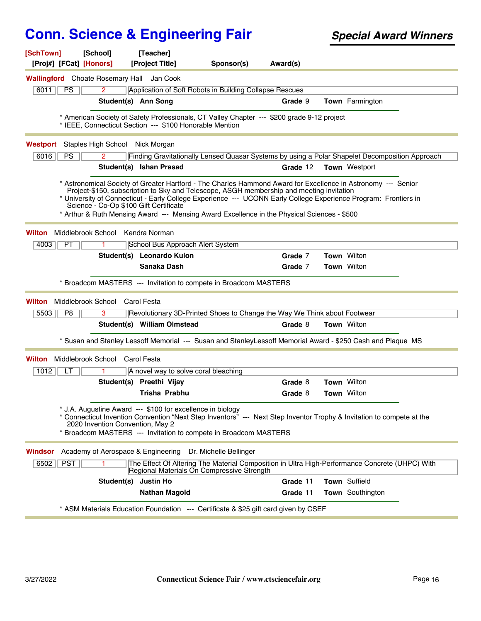| [SchTown]<br>[School]<br>[Proj#] [FCat] [Honors]                                                                                                                                                                                                                                                                                                                          | [Teacher]<br>[Project Title]                                                                                                                 | Sponsor(s) | Award(s) |                      |  |
|---------------------------------------------------------------------------------------------------------------------------------------------------------------------------------------------------------------------------------------------------------------------------------------------------------------------------------------------------------------------------|----------------------------------------------------------------------------------------------------------------------------------------------|------------|----------|----------------------|--|
| <b>Wallingford</b> Choate Rosemary Hall                                                                                                                                                                                                                                                                                                                                   | Jan Cook                                                                                                                                     |            |          |                      |  |
| 6011<br><b>PS</b><br>2                                                                                                                                                                                                                                                                                                                                                    | Application of Soft Robots in Building Collapse Rescues                                                                                      |            |          |                      |  |
|                                                                                                                                                                                                                                                                                                                                                                           | Student(s) Ann Song                                                                                                                          |            | Grade 9  | Town Farmington      |  |
| * American Society of Safety Professionals, CT Valley Chapter --- \$200 grade 9-12 project<br>* IEEE, Connecticut Section --- \$100 Honorable Mention                                                                                                                                                                                                                     |                                                                                                                                              |            |          |                      |  |
| Staples High School Nick Morgan<br>Westport                                                                                                                                                                                                                                                                                                                               |                                                                                                                                              |            |          |                      |  |
| 6016<br>PS.<br>2                                                                                                                                                                                                                                                                                                                                                          | Finding Gravitationally Lensed Quasar Systems by using a Polar Shapelet Decomposition Approach                                               |            |          |                      |  |
|                                                                                                                                                                                                                                                                                                                                                                           | Student(s) Ishan Prasad                                                                                                                      |            | Grade 12 | <b>Town</b> Westport |  |
| * Astronomical Society of Greater Hartford - The Charles Hammond Award for Excellence in Astronomy --- Senior<br>* University of Connecticut - Early College Experience --- UCONN Early College Experience Program: Frontiers in<br>Science - Co-Op \$100 Gift Certificate<br>* Arthur & Ruth Mensing Award --- Mensing Award Excellence in the Physical Sciences - \$500 | Project-\$150, subscription to Sky and Telescope, ASGH membership and meeting invitation                                                     |            |          |                      |  |
| Middlebrook School<br>Wilton                                                                                                                                                                                                                                                                                                                                              | Kendra Norman                                                                                                                                |            |          |                      |  |
| <b>PT</b><br>4003                                                                                                                                                                                                                                                                                                                                                         | School Bus Approach Alert System                                                                                                             |            |          |                      |  |
|                                                                                                                                                                                                                                                                                                                                                                           | Student(s) Leonardo Kulon                                                                                                                    |            | Grade 7  | <b>Town</b> Wilton   |  |
|                                                                                                                                                                                                                                                                                                                                                                           | Sanaka Dash                                                                                                                                  |            | Grade 7  | Town Wilton          |  |
| * Broadcom MASTERS --- Invitation to compete in Broadcom MASTERS                                                                                                                                                                                                                                                                                                          |                                                                                                                                              |            |          |                      |  |
| Middlebrook School<br>Wilton                                                                                                                                                                                                                                                                                                                                              | Carol Festa                                                                                                                                  |            |          |                      |  |
| 5503<br>P8<br>3                                                                                                                                                                                                                                                                                                                                                           | Revolutionary 3D-Printed Shoes to Change the Way We Think about Footwear                                                                     |            |          |                      |  |
|                                                                                                                                                                                                                                                                                                                                                                           | Student(s) William Olmstead                                                                                                                  |            | Grade 8  | <b>Town</b> Wilton   |  |
| * Susan and Stanley Lessoff Memorial --- Susan and StanleyLessoff Memorial Award - \$250 Cash and Plaque MS                                                                                                                                                                                                                                                               |                                                                                                                                              |            |          |                      |  |
| Middlebrook School Carol Festa<br>Wilton                                                                                                                                                                                                                                                                                                                                  |                                                                                                                                              |            |          |                      |  |
| 1012<br>LT<br>1.                                                                                                                                                                                                                                                                                                                                                          | A novel way to solve coral bleaching                                                                                                         |            |          |                      |  |
|                                                                                                                                                                                                                                                                                                                                                                           | Student(s) Preethi Vijay                                                                                                                     |            | Grade 8  | <b>Town Wilton</b>   |  |
|                                                                                                                                                                                                                                                                                                                                                                           | Trisha Prabhu                                                                                                                                |            | Grade 8  | Town Wilton          |  |
| * J.A. Augustine Award --- \$100 for excellence in biology<br>* Connecticut Invention Convention "Next Step Inventors" --- Next Step Inventor Trophy & Invitation to compete at the<br>2020 Invention Convention, May 2<br>* Broadcom MASTERS --- Invitation to compete in Broadcom MASTERS                                                                               |                                                                                                                                              |            |          |                      |  |
| Windsor<br>Academy of Aerospace & Engineering Dr. Michelle Bellinger                                                                                                                                                                                                                                                                                                      |                                                                                                                                              |            |          |                      |  |
| <b>PST</b><br>6502<br>1.                                                                                                                                                                                                                                                                                                                                                  | The Effect Of Altering The Material Composition in Ultra High-Performance Concrete (UHPC) With<br>Regional Materials On Compressive Strength |            |          |                      |  |
| Student(s)                                                                                                                                                                                                                                                                                                                                                                | <b>Justin Ho</b>                                                                                                                             |            | Grade 11 | Town Suffield        |  |
|                                                                                                                                                                                                                                                                                                                                                                           | <b>Nathan Magold</b>                                                                                                                         |            | Grade 11 | Town Southington     |  |
| * ASM Materials Education Foundation --- Certificate & \$25 gift card given by CSEF                                                                                                                                                                                                                                                                                       |                                                                                                                                              |            |          |                      |  |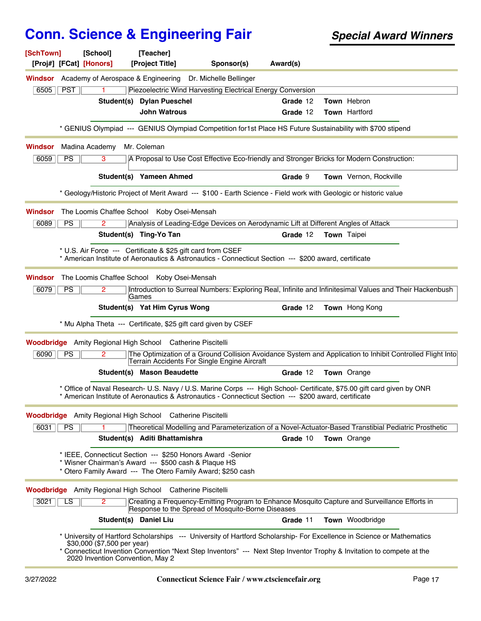| [SchTown]<br>[Proj#] [FCat] [Honors] | [School]                                                        | [Teacher]<br>[Project Title]                                                                                                                                                      | Sponsor(s) | Award(s) |                                                                                                                                                                                                                                                 |
|--------------------------------------|-----------------------------------------------------------------|-----------------------------------------------------------------------------------------------------------------------------------------------------------------------------------|------------|----------|-------------------------------------------------------------------------------------------------------------------------------------------------------------------------------------------------------------------------------------------------|
| Windsor                              |                                                                 | Academy of Aerospace & Engineering Dr. Michelle Bellinger                                                                                                                         |            |          |                                                                                                                                                                                                                                                 |
| <b>PST</b><br>6505                   | 1.                                                              | Piezoelectric Wind Harvesting Electrical Energy Conversion                                                                                                                        |            |          |                                                                                                                                                                                                                                                 |
|                                      |                                                                 | Student(s) Dylan Pueschel                                                                                                                                                         |            | Grade 12 | Town Hebron                                                                                                                                                                                                                                     |
|                                      |                                                                 | <b>John Watrous</b>                                                                                                                                                               |            | Grade 12 | Town Hartford                                                                                                                                                                                                                                   |
|                                      |                                                                 | * GENIUS Olympiad --- GENIUS Olympiad Competition for1st Place HS Future Sustainability with \$700 stipend                                                                        |            |          |                                                                                                                                                                                                                                                 |
| Windsor                              | Madina Academy                                                  | Mr. Coleman                                                                                                                                                                       |            |          |                                                                                                                                                                                                                                                 |
| 6059<br><b>PS</b>                    | 3                                                               |                                                                                                                                                                                   |            |          | A Proposal to Use Cost Effective Eco-friendly and Stronger Bricks for Modern Construction:                                                                                                                                                      |
|                                      |                                                                 | Student(s) Yameen Ahmed                                                                                                                                                           |            | Grade 9  | <b>Town</b> Vernon, Rockville                                                                                                                                                                                                                   |
|                                      |                                                                 | * Geology/Historic Project of Merit Award --- \$100 - Earth Science - Field work with Geologic or historic value                                                                  |            |          |                                                                                                                                                                                                                                                 |
| Windsor                              |                                                                 | The Loomis Chaffee School Koby Osei-Mensah                                                                                                                                        |            |          |                                                                                                                                                                                                                                                 |
| 6089<br><b>PS</b>                    |                                                                 | Analysis of Leading-Edge Devices on Aerodynamic Lift at Different Angles of Attack                                                                                                |            |          |                                                                                                                                                                                                                                                 |
|                                      |                                                                 | Student(s) Ting-Yo Tan                                                                                                                                                            |            | Grade 12 | Town Taipei                                                                                                                                                                                                                                     |
|                                      |                                                                 | * U.S. Air Force --- Certificate & \$25 gift card from CSEF<br>* American Institute of Aeronautics & Astronautics - Connecticut Section --- \$200 award, certificate              |            |          |                                                                                                                                                                                                                                                 |
| Windsor                              |                                                                 | The Loomis Chaffee School Koby Osei-Mensah                                                                                                                                        |            |          |                                                                                                                                                                                                                                                 |
| 6079<br><b>PS</b>                    |                                                                 | Games                                                                                                                                                                             |            |          | Introduction to Surreal Numbers: Exploring Real, Infinite and Infinitesimal Values and Their Hackenbush                                                                                                                                         |
|                                      |                                                                 | Student(s) Yat Him Cyrus Wong                                                                                                                                                     |            | Grade 12 | Town Hong Kong                                                                                                                                                                                                                                  |
|                                      |                                                                 | * Mu Alpha Theta --- Certificate, \$25 gift card given by CSEF                                                                                                                    |            |          |                                                                                                                                                                                                                                                 |
|                                      |                                                                 | <b>Woodbridge</b> Amity Regional High School Catherine Piscitelli                                                                                                                 |            |          |                                                                                                                                                                                                                                                 |
| PS<br>6090                           | 2                                                               | Terrain Accidents For Single Engine Aircraft                                                                                                                                      |            |          | The Optimization of a Ground Collision Avoidance System and Application to Inhibit Controlled Flight Into                                                                                                                                       |
|                                      |                                                                 | <b>Student(s) Mason Beaudette</b>                                                                                                                                                 |            | Grade 12 | Town Orange                                                                                                                                                                                                                                     |
|                                      |                                                                 | * American Institute of Aeronautics & Astronautics - Connecticut Section --- \$200 award, certificate                                                                             |            |          | * Office of Naval Research- U.S. Navy / U.S. Marine Corps --- High School- Certificate, \$75.00 gift card given by ONR                                                                                                                          |
|                                      |                                                                 | <b>Woodbridge</b> Amity Regional High School Catherine Piscitelli                                                                                                                 |            |          |                                                                                                                                                                                                                                                 |
| 6031<br><b>PS</b>                    |                                                                 |                                                                                                                                                                                   |            |          | Theoretical Modelling and Parameterization of a Novel-Actuator-Based Transtibial Pediatric Prosthetic                                                                                                                                           |
|                                      |                                                                 | Student(s) Aditi Bhattamishra                                                                                                                                                     |            | Grade 10 | Town Orange                                                                                                                                                                                                                                     |
|                                      |                                                                 | * IEEE, Connecticut Section --- \$250 Honors Award -Senior<br>* Wisner Chairman's Award --- \$500 cash & Plaque HS<br>* Otero Family Award --- The Otero Family Award; \$250 cash |            |          |                                                                                                                                                                                                                                                 |
|                                      |                                                                 | Woodbridge Amity Regional High School Catherine Piscitelli                                                                                                                        |            |          |                                                                                                                                                                                                                                                 |
| LS<br>3021                           | $\overline{2}$                                                  | Response to the Spread of Mosquito-Borne Diseases                                                                                                                                 |            |          | Creating a Frequency-Emitting Program to Enhance Mosquito Capture and Surveillance Efforts in                                                                                                                                                   |
|                                      |                                                                 | Student(s) Daniel Liu                                                                                                                                                             |            | Grade 11 | Town Woodbridge                                                                                                                                                                                                                                 |
|                                      | \$30,000 (\$7,500 per year)<br>2020 Invention Convention, May 2 |                                                                                                                                                                                   |            |          | * University of Hartford Scholarships --- University of Hartford Scholarship- For Excellence in Science or Mathematics<br>* Connecticut Invention Convention "Next Step Inventors" --- Next Step Inventor Trophy & Invitation to compete at the |